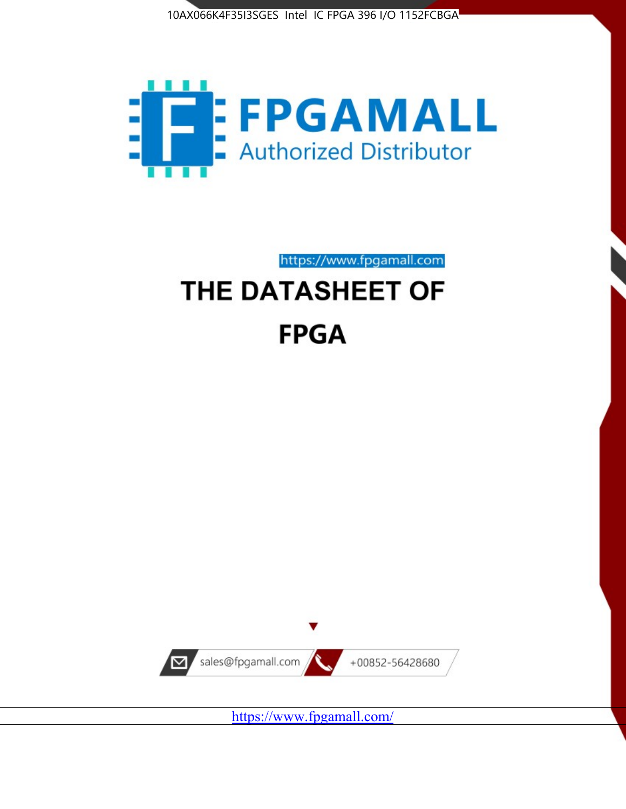



https://www.fpgamall.com

# THE DATASHEET OF **FPGA**



<https://www.fpgamall.com/>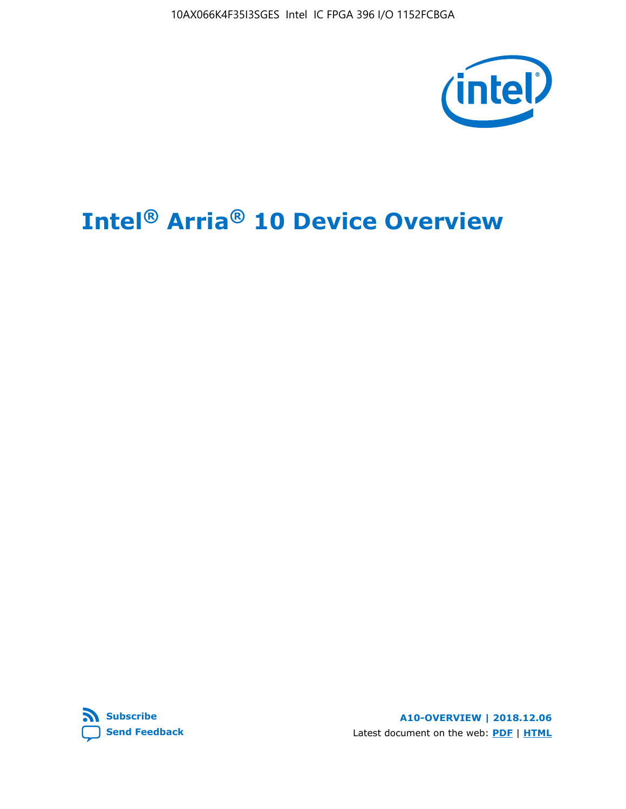10AX066K4F35I3SGES Intel IC FPGA 396 I/O 1152FCBGA



# **Intel® Arria® 10 Device Overview**



**A10-OVERVIEW | 2018.12.06** Latest document on the web: **[PDF](https://www.intel.com/content/dam/www/programmable/us/en/pdfs/literature/hb/arria-10/a10_overview.pdf)** | **[HTML](https://www.intel.com/content/www/us/en/programmable/documentation/sam1403480274650.html)**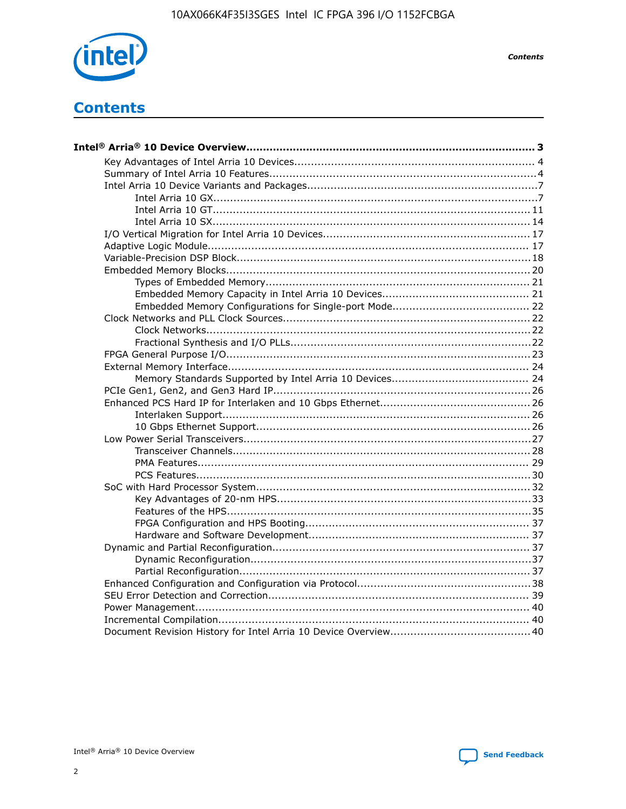

**Contents** 

# **Contents**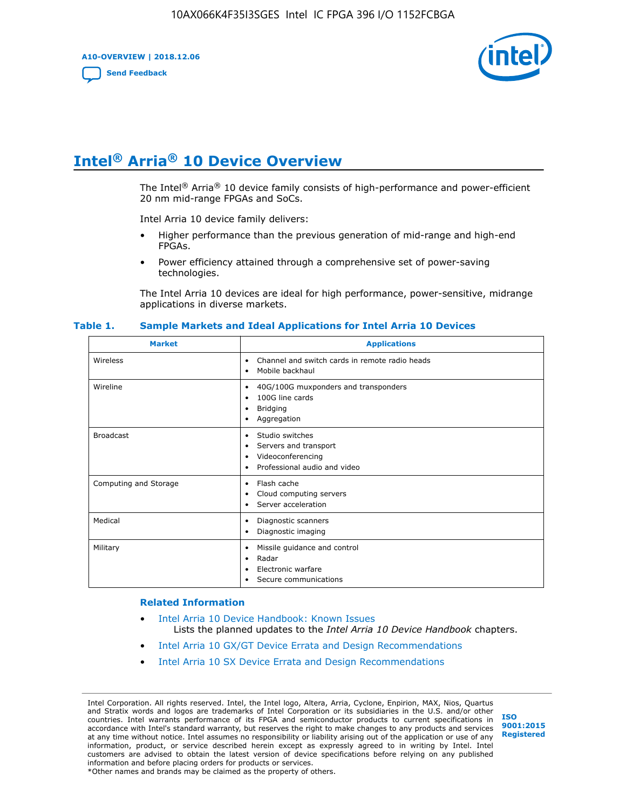**A10-OVERVIEW | 2018.12.06**

**[Send Feedback](mailto:FPGAtechdocfeedback@intel.com?subject=Feedback%20on%20Intel%20Arria%2010%20Device%20Overview%20(A10-OVERVIEW%202018.12.06)&body=We%20appreciate%20your%20feedback.%20In%20your%20comments,%20also%20specify%20the%20page%20number%20or%20paragraph.%20Thank%20you.)**



# **Intel® Arria® 10 Device Overview**

The Intel<sup>®</sup> Arria<sup>®</sup> 10 device family consists of high-performance and power-efficient 20 nm mid-range FPGAs and SoCs.

Intel Arria 10 device family delivers:

- Higher performance than the previous generation of mid-range and high-end FPGAs.
- Power efficiency attained through a comprehensive set of power-saving technologies.

The Intel Arria 10 devices are ideal for high performance, power-sensitive, midrange applications in diverse markets.

| <b>Market</b>         | <b>Applications</b>                                                                                               |
|-----------------------|-------------------------------------------------------------------------------------------------------------------|
| Wireless              | Channel and switch cards in remote radio heads<br>٠<br>Mobile backhaul<br>٠                                       |
| Wireline              | 40G/100G muxponders and transponders<br>٠<br>100G line cards<br>٠<br><b>Bridging</b><br>٠<br>Aggregation<br>٠     |
| <b>Broadcast</b>      | Studio switches<br>٠<br>Servers and transport<br>٠<br>Videoconferencing<br>٠<br>Professional audio and video<br>٠ |
| Computing and Storage | Flash cache<br>٠<br>Cloud computing servers<br>٠<br>Server acceleration<br>٠                                      |
| Medical               | Diagnostic scanners<br>٠<br>Diagnostic imaging<br>٠                                                               |
| Military              | Missile guidance and control<br>٠<br>Radar<br>٠<br>Electronic warfare<br>٠<br>Secure communications<br>٠          |

#### **Table 1. Sample Markets and Ideal Applications for Intel Arria 10 Devices**

#### **Related Information**

- [Intel Arria 10 Device Handbook: Known Issues](http://www.altera.com/support/kdb/solutions/rd07302013_646.html) Lists the planned updates to the *Intel Arria 10 Device Handbook* chapters.
- [Intel Arria 10 GX/GT Device Errata and Design Recommendations](https://www.intel.com/content/www/us/en/programmable/documentation/agz1493851706374.html#yqz1494433888646)
- [Intel Arria 10 SX Device Errata and Design Recommendations](https://www.intel.com/content/www/us/en/programmable/documentation/cru1462832385668.html#cru1462832558642)

Intel Corporation. All rights reserved. Intel, the Intel logo, Altera, Arria, Cyclone, Enpirion, MAX, Nios, Quartus and Stratix words and logos are trademarks of Intel Corporation or its subsidiaries in the U.S. and/or other countries. Intel warrants performance of its FPGA and semiconductor products to current specifications in accordance with Intel's standard warranty, but reserves the right to make changes to any products and services at any time without notice. Intel assumes no responsibility or liability arising out of the application or use of any information, product, or service described herein except as expressly agreed to in writing by Intel. Intel customers are advised to obtain the latest version of device specifications before relying on any published information and before placing orders for products or services. \*Other names and brands may be claimed as the property of others.

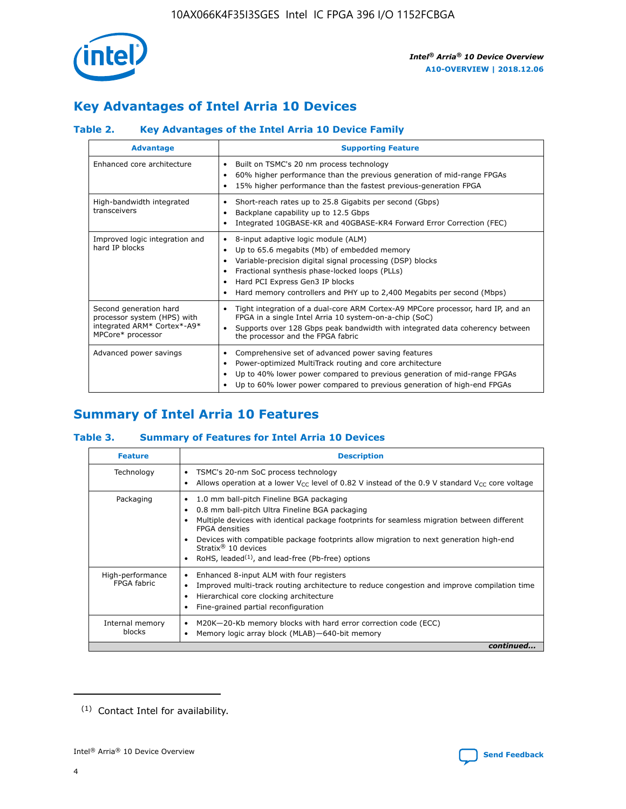

# **Key Advantages of Intel Arria 10 Devices**

## **Table 2. Key Advantages of the Intel Arria 10 Device Family**

| <b>Advantage</b>                                                                                          | <b>Supporting Feature</b>                                                                                                                                                                                                                                                                                                     |  |  |  |  |  |
|-----------------------------------------------------------------------------------------------------------|-------------------------------------------------------------------------------------------------------------------------------------------------------------------------------------------------------------------------------------------------------------------------------------------------------------------------------|--|--|--|--|--|
| Enhanced core architecture                                                                                | Built on TSMC's 20 nm process technology<br>٠<br>60% higher performance than the previous generation of mid-range FPGAs<br>٠<br>15% higher performance than the fastest previous-generation FPGA<br>٠                                                                                                                         |  |  |  |  |  |
| High-bandwidth integrated<br>transceivers                                                                 | Short-reach rates up to 25.8 Gigabits per second (Gbps)<br>٠<br>Backplane capability up to 12.5 Gbps<br>٠<br>Integrated 10GBASE-KR and 40GBASE-KR4 Forward Error Correction (FEC)<br>٠                                                                                                                                        |  |  |  |  |  |
| Improved logic integration and<br>hard IP blocks                                                          | 8-input adaptive logic module (ALM)<br>٠<br>Up to 65.6 megabits (Mb) of embedded memory<br>٠<br>Variable-precision digital signal processing (DSP) blocks<br>Fractional synthesis phase-locked loops (PLLs)<br>٠<br>Hard PCI Express Gen3 IP blocks<br>Hard memory controllers and PHY up to 2,400 Megabits per second (Mbps) |  |  |  |  |  |
| Second generation hard<br>processor system (HPS) with<br>integrated ARM* Cortex*-A9*<br>MPCore* processor | Tight integration of a dual-core ARM Cortex-A9 MPCore processor, hard IP, and an<br>٠<br>FPGA in a single Intel Arria 10 system-on-a-chip (SoC)<br>Supports over 128 Gbps peak bandwidth with integrated data coherency between<br>$\bullet$<br>the processor and the FPGA fabric                                             |  |  |  |  |  |
| Advanced power savings                                                                                    | Comprehensive set of advanced power saving features<br>٠<br>Power-optimized MultiTrack routing and core architecture<br>٠<br>Up to 40% lower power compared to previous generation of mid-range FPGAs<br>٠<br>Up to 60% lower power compared to previous generation of high-end FPGAs                                         |  |  |  |  |  |

# **Summary of Intel Arria 10 Features**

## **Table 3. Summary of Features for Intel Arria 10 Devices**

| <b>Feature</b>                  | <b>Description</b>                                                                                                                                                                                                                                                                                                                                                                                       |
|---------------------------------|----------------------------------------------------------------------------------------------------------------------------------------------------------------------------------------------------------------------------------------------------------------------------------------------------------------------------------------------------------------------------------------------------------|
| Technology                      | TSMC's 20-nm SoC process technology<br>٠<br>Allows operation at a lower $V_{\text{CC}}$ level of 0.82 V instead of the 0.9 V standard $V_{\text{CC}}$ core voltage                                                                                                                                                                                                                                       |
| Packaging                       | 1.0 mm ball-pitch Fineline BGA packaging<br>0.8 mm ball-pitch Ultra Fineline BGA packaging<br>Multiple devices with identical package footprints for seamless migration between different<br><b>FPGA</b> densities<br>Devices with compatible package footprints allow migration to next generation high-end<br>Stratix $\mathcal{R}$ 10 devices<br>RoHS, leaded $(1)$ , and lead-free (Pb-free) options |
| High-performance<br>FPGA fabric | Enhanced 8-input ALM with four registers<br>٠<br>Improved multi-track routing architecture to reduce congestion and improve compilation time<br>Hierarchical core clocking architecture<br>Fine-grained partial reconfiguration                                                                                                                                                                          |
| Internal memory<br>blocks       | M20K-20-Kb memory blocks with hard error correction code (ECC)<br>Memory logic array block (MLAB)-640-bit memory                                                                                                                                                                                                                                                                                         |
|                                 | continued                                                                                                                                                                                                                                                                                                                                                                                                |



<sup>(1)</sup> Contact Intel for availability.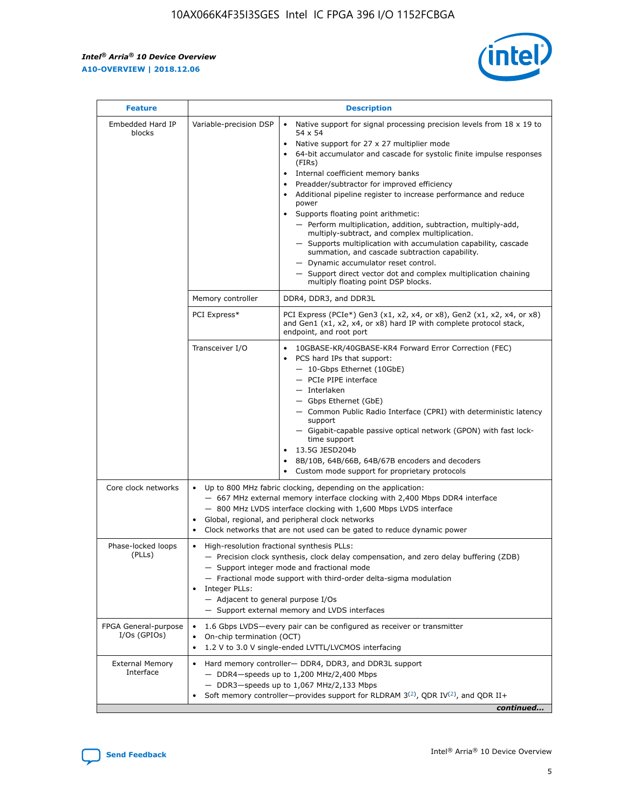r



| <b>Feature</b>                         |                                                                                                                                                                                                                                                                                                                          | <b>Description</b>                                                                                                                                                                                                                                                                                                                                                                                                                                                                                                                                                                                                                                                                                                                                                                                                                     |  |  |  |  |  |
|----------------------------------------|--------------------------------------------------------------------------------------------------------------------------------------------------------------------------------------------------------------------------------------------------------------------------------------------------------------------------|----------------------------------------------------------------------------------------------------------------------------------------------------------------------------------------------------------------------------------------------------------------------------------------------------------------------------------------------------------------------------------------------------------------------------------------------------------------------------------------------------------------------------------------------------------------------------------------------------------------------------------------------------------------------------------------------------------------------------------------------------------------------------------------------------------------------------------------|--|--|--|--|--|
| Embedded Hard IP<br>blocks             | Variable-precision DSP                                                                                                                                                                                                                                                                                                   | Native support for signal processing precision levels from $18 \times 19$ to<br>54 x 54<br>Native support for 27 x 27 multiplier mode<br>64-bit accumulator and cascade for systolic finite impulse responses<br>(FIRs)<br>Internal coefficient memory banks<br>$\bullet$<br>Preadder/subtractor for improved efficiency<br>Additional pipeline register to increase performance and reduce<br>power<br>Supports floating point arithmetic:<br>- Perform multiplication, addition, subtraction, multiply-add,<br>multiply-subtract, and complex multiplication.<br>- Supports multiplication with accumulation capability, cascade<br>summation, and cascade subtraction capability.<br>- Dynamic accumulator reset control.<br>- Support direct vector dot and complex multiplication chaining<br>multiply floating point DSP blocks. |  |  |  |  |  |
|                                        | Memory controller                                                                                                                                                                                                                                                                                                        | DDR4, DDR3, and DDR3L                                                                                                                                                                                                                                                                                                                                                                                                                                                                                                                                                                                                                                                                                                                                                                                                                  |  |  |  |  |  |
|                                        | PCI Express*                                                                                                                                                                                                                                                                                                             | PCI Express (PCIe*) Gen3 (x1, x2, x4, or x8), Gen2 (x1, x2, x4, or x8)<br>and Gen1 (x1, x2, x4, or x8) hard IP with complete protocol stack,<br>endpoint, and root port                                                                                                                                                                                                                                                                                                                                                                                                                                                                                                                                                                                                                                                                |  |  |  |  |  |
|                                        | Transceiver I/O                                                                                                                                                                                                                                                                                                          | 10GBASE-KR/40GBASE-KR4 Forward Error Correction (FEC)<br>PCS hard IPs that support:<br>$\bullet$<br>- 10-Gbps Ethernet (10GbE)<br>- PCIe PIPE interface<br>$-$ Interlaken<br>- Gbps Ethernet (GbE)<br>- Common Public Radio Interface (CPRI) with deterministic latency<br>support<br>- Gigabit-capable passive optical network (GPON) with fast lock-<br>time support<br>13.5G JESD204b<br>$\bullet$<br>8B/10B, 64B/66B, 64B/67B encoders and decoders<br>Custom mode support for proprietary protocols                                                                                                                                                                                                                                                                                                                               |  |  |  |  |  |
| Core clock networks                    | $\bullet$<br>$\bullet$                                                                                                                                                                                                                                                                                                   | Up to 800 MHz fabric clocking, depending on the application:<br>- 667 MHz external memory interface clocking with 2,400 Mbps DDR4 interface<br>- 800 MHz LVDS interface clocking with 1,600 Mbps LVDS interface<br>Global, regional, and peripheral clock networks<br>Clock networks that are not used can be gated to reduce dynamic power                                                                                                                                                                                                                                                                                                                                                                                                                                                                                            |  |  |  |  |  |
| Phase-locked loops<br>(PLLs)           | High-resolution fractional synthesis PLLs:<br>$\bullet$<br>Integer PLLs:<br>- Adjacent to general purpose I/Os                                                                                                                                                                                                           | - Precision clock synthesis, clock delay compensation, and zero delay buffering (ZDB)<br>- Support integer mode and fractional mode<br>- Fractional mode support with third-order delta-sigma modulation<br>- Support external memory and LVDS interfaces                                                                                                                                                                                                                                                                                                                                                                                                                                                                                                                                                                              |  |  |  |  |  |
| FPGA General-purpose<br>$I/Os$ (GPIOs) | On-chip termination (OCT)                                                                                                                                                                                                                                                                                                | 1.6 Gbps LVDS-every pair can be configured as receiver or transmitter                                                                                                                                                                                                                                                                                                                                                                                                                                                                                                                                                                                                                                                                                                                                                                  |  |  |  |  |  |
| <b>External Memory</b><br>Interface    | 1.2 V to 3.0 V single-ended LVTTL/LVCMOS interfacing<br>Hard memory controller- DDR4, DDR3, and DDR3L support<br>$-$ DDR4 $-$ speeds up to 1,200 MHz/2,400 Mbps<br>- DDR3-speeds up to 1,067 MHz/2,133 Mbps<br>Soft memory controller—provides support for RLDRAM $3^{(2)}$ , QDR IV $^{(2)}$ , and QDR II+<br>continued |                                                                                                                                                                                                                                                                                                                                                                                                                                                                                                                                                                                                                                                                                                                                                                                                                                        |  |  |  |  |  |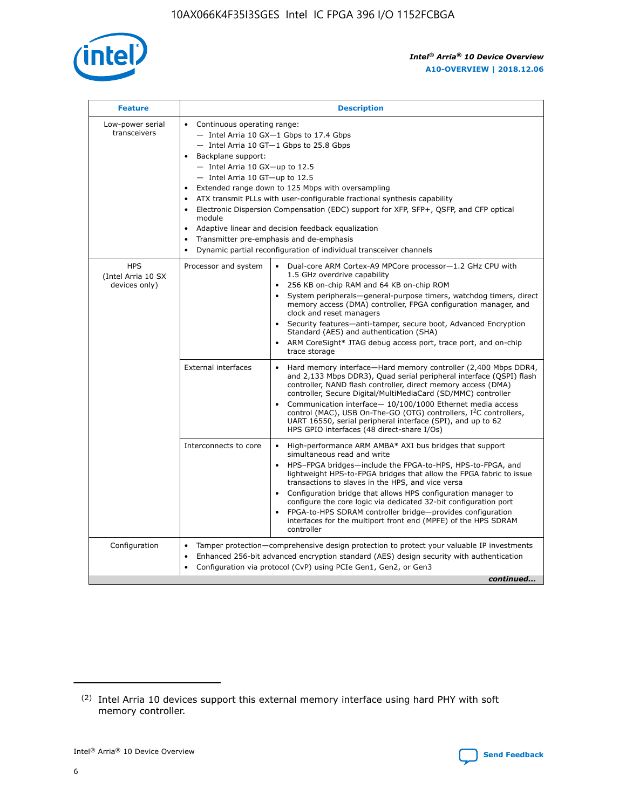

| <b>Feature</b>                                    | <b>Description</b>                                                                                                                                                                                                                                                                                                                                                                                                                                                                                                                                                                                                                         |
|---------------------------------------------------|--------------------------------------------------------------------------------------------------------------------------------------------------------------------------------------------------------------------------------------------------------------------------------------------------------------------------------------------------------------------------------------------------------------------------------------------------------------------------------------------------------------------------------------------------------------------------------------------------------------------------------------------|
| Low-power serial<br>transceivers                  | • Continuous operating range:<br>- Intel Arria 10 GX-1 Gbps to 17.4 Gbps<br>- Intel Arria 10 GT-1 Gbps to 25.8 Gbps<br>Backplane support:<br>$-$ Intel Arria 10 GX-up to 12.5<br>- Intel Arria 10 GT-up to 12.5<br>Extended range down to 125 Mbps with oversampling<br>ATX transmit PLLs with user-configurable fractional synthesis capability<br>Electronic Dispersion Compensation (EDC) support for XFP, SFP+, QSFP, and CFP optical<br>module<br>• Adaptive linear and decision feedback equalization<br>Transmitter pre-emphasis and de-emphasis<br>$\bullet$<br>Dynamic partial reconfiguration of individual transceiver channels |
| <b>HPS</b><br>(Intel Arria 10 SX<br>devices only) | Dual-core ARM Cortex-A9 MPCore processor-1.2 GHz CPU with<br>Processor and system<br>$\bullet$<br>1.5 GHz overdrive capability<br>256 KB on-chip RAM and 64 KB on-chip ROM<br>System peripherals-general-purpose timers, watchdog timers, direct<br>memory access (DMA) controller, FPGA configuration manager, and<br>clock and reset managers<br>Security features-anti-tamper, secure boot, Advanced Encryption<br>$\bullet$<br>Standard (AES) and authentication (SHA)<br>ARM CoreSight* JTAG debug access port, trace port, and on-chip<br>trace storage                                                                              |
|                                                   | <b>External interfaces</b><br>Hard memory interface-Hard memory controller (2,400 Mbps DDR4,<br>$\bullet$<br>and 2,133 Mbps DDR3), Quad serial peripheral interface (QSPI) flash<br>controller, NAND flash controller, direct memory access (DMA)<br>controller, Secure Digital/MultiMediaCard (SD/MMC) controller<br>Communication interface-10/100/1000 Ethernet media access<br>$\bullet$<br>control (MAC), USB On-The-GO (OTG) controllers, I <sup>2</sup> C controllers,<br>UART 16550, serial peripheral interface (SPI), and up to 62<br>HPS GPIO interfaces (48 direct-share I/Os)                                                 |
|                                                   | High-performance ARM AMBA* AXI bus bridges that support<br>Interconnects to core<br>$\bullet$<br>simultaneous read and write<br>HPS-FPGA bridges-include the FPGA-to-HPS, HPS-to-FPGA, and<br>$\bullet$<br>lightweight HPS-to-FPGA bridges that allow the FPGA fabric to issue<br>transactions to slaves in the HPS, and vice versa<br>Configuration bridge that allows HPS configuration manager to<br>configure the core logic via dedicated 32-bit configuration port<br>FPGA-to-HPS SDRAM controller bridge-provides configuration<br>interfaces for the multiport front end (MPFE) of the HPS SDRAM<br>controller                     |
| Configuration                                     | Tamper protection—comprehensive design protection to protect your valuable IP investments<br>Enhanced 256-bit advanced encryption standard (AES) design security with authentication<br>٠<br>Configuration via protocol (CvP) using PCIe Gen1, Gen2, or Gen3<br>continued                                                                                                                                                                                                                                                                                                                                                                  |

<sup>(2)</sup> Intel Arria 10 devices support this external memory interface using hard PHY with soft memory controller.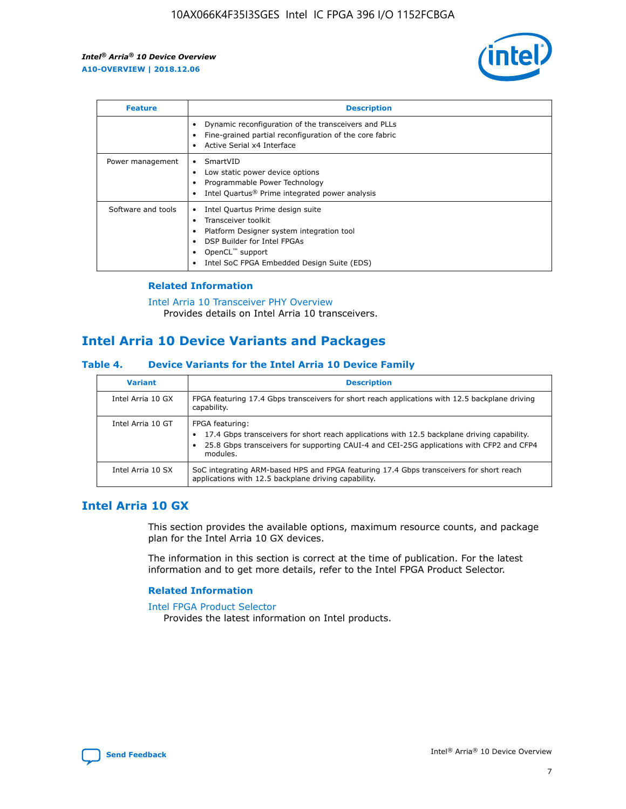

| <b>Feature</b>     | <b>Description</b>                                                                                                                                                                                                    |
|--------------------|-----------------------------------------------------------------------------------------------------------------------------------------------------------------------------------------------------------------------|
|                    | Dynamic reconfiguration of the transceivers and PLLs<br>Fine-grained partial reconfiguration of the core fabric<br>Active Serial x4 Interface                                                                         |
| Power management   | SmartVID<br>Low static power device options<br>Programmable Power Technology<br>Intel Quartus <sup>®</sup> Prime integrated power analysis                                                                            |
| Software and tools | Intel Quartus Prime design suite<br>Transceiver toolkit<br>٠<br>Platform Designer system integration tool<br>DSP Builder for Intel FPGAs<br>OpenCL <sup>™</sup> support<br>Intel SoC FPGA Embedded Design Suite (EDS) |

## **Related Information**

[Intel Arria 10 Transceiver PHY Overview](https://www.intel.com/content/www/us/en/programmable/documentation/nik1398707230472.html#nik1398706768037) Provides details on Intel Arria 10 transceivers.

## **Intel Arria 10 Device Variants and Packages**

#### **Table 4. Device Variants for the Intel Arria 10 Device Family**

| <b>Variant</b>    | <b>Description</b>                                                                                                                                                                                                     |
|-------------------|------------------------------------------------------------------------------------------------------------------------------------------------------------------------------------------------------------------------|
| Intel Arria 10 GX | FPGA featuring 17.4 Gbps transceivers for short reach applications with 12.5 backplane driving<br>capability.                                                                                                          |
| Intel Arria 10 GT | FPGA featuring:<br>17.4 Gbps transceivers for short reach applications with 12.5 backplane driving capability.<br>25.8 Gbps transceivers for supporting CAUI-4 and CEI-25G applications with CFP2 and CFP4<br>modules. |
| Intel Arria 10 SX | SoC integrating ARM-based HPS and FPGA featuring 17.4 Gbps transceivers for short reach<br>applications with 12.5 backplane driving capability.                                                                        |

## **Intel Arria 10 GX**

This section provides the available options, maximum resource counts, and package plan for the Intel Arria 10 GX devices.

The information in this section is correct at the time of publication. For the latest information and to get more details, refer to the Intel FPGA Product Selector.

#### **Related Information**

#### [Intel FPGA Product Selector](http://www.altera.com/products/selector/psg-selector.html) Provides the latest information on Intel products.

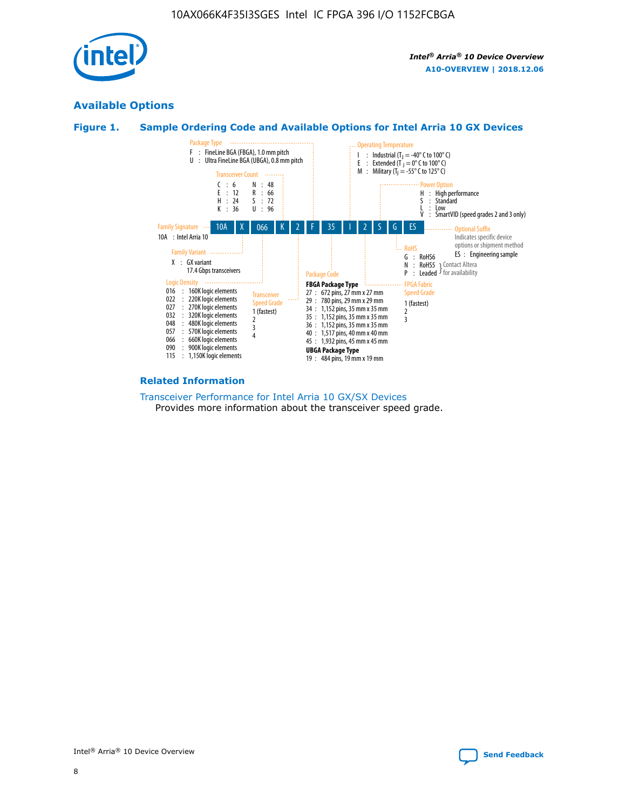

## **Available Options**





#### **Related Information**

[Transceiver Performance for Intel Arria 10 GX/SX Devices](https://www.intel.com/content/www/us/en/programmable/documentation/mcn1413182292568.html#mcn1413213965502) Provides more information about the transceiver speed grade.

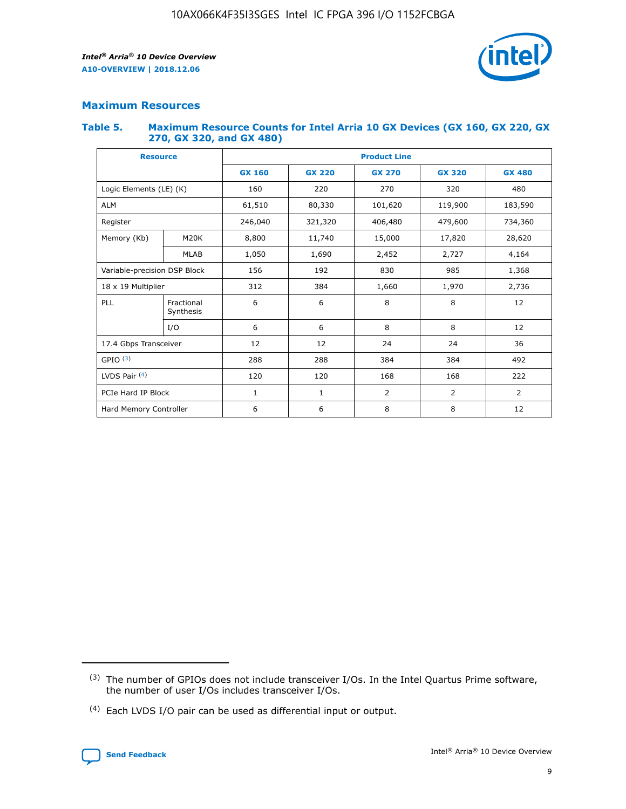

## **Maximum Resources**

#### **Table 5. Maximum Resource Counts for Intel Arria 10 GX Devices (GX 160, GX 220, GX 270, GX 320, and GX 480)**

| <b>Resource</b>              |                         | <b>Product Line</b> |                                                 |                  |         |                |  |  |
|------------------------------|-------------------------|---------------------|-------------------------------------------------|------------------|---------|----------------|--|--|
|                              |                         | <b>GX 160</b>       | <b>GX 220</b><br><b>GX 270</b><br><b>GX 320</b> |                  |         | <b>GX 480</b>  |  |  |
| Logic Elements (LE) (K)      |                         | 160                 | 220<br>320<br>270                               |                  |         | 480            |  |  |
| <b>ALM</b>                   |                         | 61,510              | 80,330                                          | 101,620          | 119,900 | 183,590        |  |  |
| Register                     |                         | 246,040             | 406,480<br>321,320                              |                  | 479,600 | 734,360        |  |  |
| Memory (Kb)                  | M <sub>20</sub> K       | 8,800               | 11,740                                          | 15,000<br>17,820 |         | 28,620         |  |  |
|                              | <b>MLAB</b>             | 1,050               | 1,690                                           | 2,452            | 2,727   | 4,164          |  |  |
| Variable-precision DSP Block |                         | 156                 | 192                                             | 830              | 985     | 1,368          |  |  |
| 18 x 19 Multiplier           |                         | 312                 | 384                                             | 1,970<br>1,660   |         | 2,736          |  |  |
| PLL                          | Fractional<br>Synthesis | 6                   | 6                                               | 8                | 8       | 12             |  |  |
|                              | I/O                     | 6                   | 6                                               | 8                | 8       | 12             |  |  |
| 17.4 Gbps Transceiver        |                         | 12                  | 12                                              | 24               | 24      | 36             |  |  |
| GPIO <sup>(3)</sup>          |                         | 288                 | 288                                             | 384<br>384       |         | 492            |  |  |
| LVDS Pair $(4)$              |                         | 120                 | 120                                             | 168              | 168     | 222            |  |  |
| PCIe Hard IP Block           |                         | 1                   | $\mathbf{1}$                                    | 2                | 2       | $\overline{2}$ |  |  |
| Hard Memory Controller       |                         | 6                   | 6                                               | 8                | 8       | 12             |  |  |

<sup>(4)</sup> Each LVDS I/O pair can be used as differential input or output.



<sup>(3)</sup> The number of GPIOs does not include transceiver I/Os. In the Intel Quartus Prime software, the number of user I/Os includes transceiver I/Os.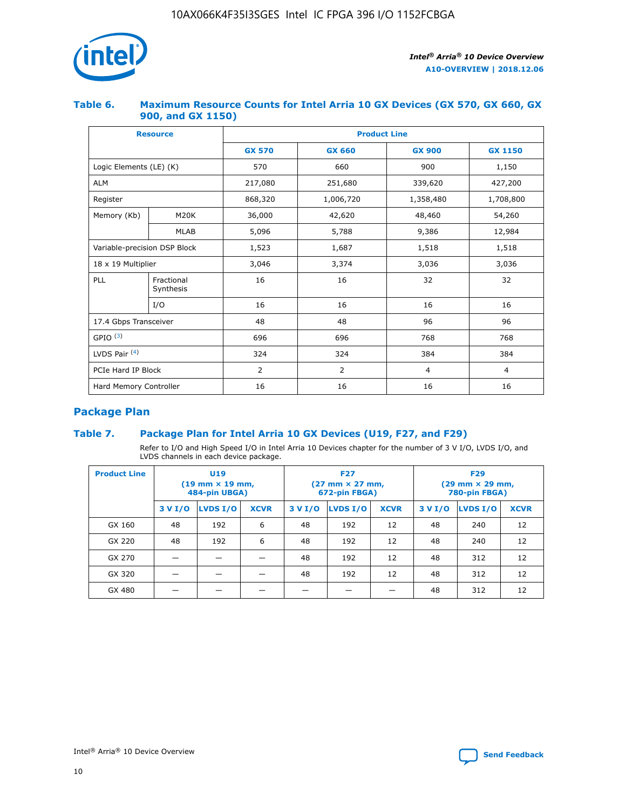

## **Table 6. Maximum Resource Counts for Intel Arria 10 GX Devices (GX 570, GX 660, GX 900, and GX 1150)**

|                              | <b>Resource</b>         | <b>Product Line</b> |                |                |                |  |  |  |
|------------------------------|-------------------------|---------------------|----------------|----------------|----------------|--|--|--|
|                              |                         | <b>GX 570</b>       | <b>GX 660</b>  | <b>GX 900</b>  | <b>GX 1150</b> |  |  |  |
| Logic Elements (LE) (K)      |                         | 570                 | 660            | 900            | 1,150          |  |  |  |
| <b>ALM</b>                   |                         | 217,080             | 251,680        | 339,620        | 427,200        |  |  |  |
| Register                     |                         | 868,320             | 1,006,720      |                | 1,708,800      |  |  |  |
| Memory (Kb)                  | <b>M20K</b>             | 36,000              | 42,620         | 48,460         | 54,260         |  |  |  |
|                              | <b>MLAB</b>             | 5,096               | 5,788          | 9,386          | 12,984         |  |  |  |
| Variable-precision DSP Block |                         | 1,523               | 1,687          | 1,518          | 1,518          |  |  |  |
| $18 \times 19$ Multiplier    |                         | 3,046               | 3,374<br>3,036 |                | 3,036          |  |  |  |
| PLL                          | Fractional<br>Synthesis | 16                  | 16             | 32             | 32             |  |  |  |
|                              | I/O                     | 16                  | 16             | 16             | 16             |  |  |  |
| 17.4 Gbps Transceiver        |                         | 48                  | 48             | 96             | 96             |  |  |  |
| GPIO <sup>(3)</sup>          |                         | 696                 | 696            | 768            | 768            |  |  |  |
| LVDS Pair $(4)$              |                         | 324                 | 324            | 384            | 384            |  |  |  |
| PCIe Hard IP Block           |                         | 2                   | $\overline{2}$ | $\overline{4}$ | 4              |  |  |  |
| Hard Memory Controller       |                         | 16                  | 16             | 16             | 16             |  |  |  |

## **Package Plan**

## **Table 7. Package Plan for Intel Arria 10 GX Devices (U19, F27, and F29)**

Refer to I/O and High Speed I/O in Intel Arria 10 Devices chapter for the number of 3 V I/O, LVDS I/O, and LVDS channels in each device package.

| <b>Product Line</b> |         | U <sub>19</sub><br>$(19 \text{ mm} \times 19 \text{ mm})$<br>484-pin UBGA) |             |         | <b>F27</b><br>(27 mm × 27 mm,<br>672-pin FBGA) |             | <b>F29</b><br>$(29 \text{ mm} \times 29 \text{ mm})$<br>780-pin FBGA) |          |             |  |
|---------------------|---------|----------------------------------------------------------------------------|-------------|---------|------------------------------------------------|-------------|-----------------------------------------------------------------------|----------|-------------|--|
|                     | 3 V I/O | <b>LVDS I/O</b>                                                            | <b>XCVR</b> | 3 V I/O | <b>LVDS I/O</b>                                | <b>XCVR</b> | 3 V I/O                                                               | LVDS I/O | <b>XCVR</b> |  |
| GX 160              | 48      | 192                                                                        | 6           | 48      | 192                                            | 12          | 48                                                                    | 240      | 12          |  |
| GX 220              | 48      | 192                                                                        | 6           | 48      | 192                                            | 12          | 48                                                                    | 240      | 12          |  |
| GX 270              |         |                                                                            |             | 48      | 192                                            | 12          | 48                                                                    | 312      | 12          |  |
| GX 320              |         |                                                                            |             | 48      | 192                                            | 12          | 48                                                                    | 312      | 12          |  |
| GX 480              |         |                                                                            |             |         |                                                |             | 48                                                                    | 312      | 12          |  |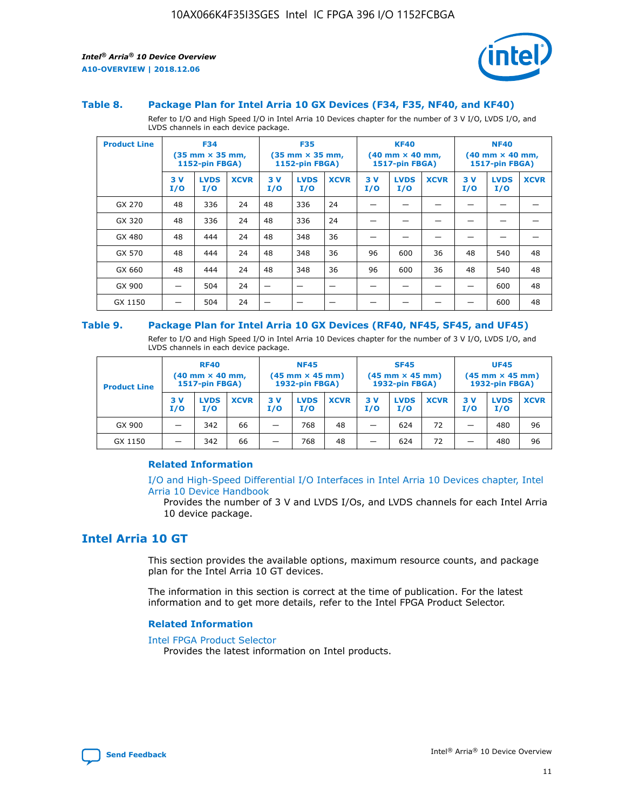

#### **Table 8. Package Plan for Intel Arria 10 GX Devices (F34, F35, NF40, and KF40)**

Refer to I/O and High Speed I/O in Intel Arria 10 Devices chapter for the number of 3 V I/O, LVDS I/O, and LVDS channels in each device package.

| <b>Product Line</b> | <b>F34</b><br>$(35 \text{ mm} \times 35 \text{ mm})$<br><b>1152-pin FBGA)</b> |                    | <b>F35</b><br>$(35 \text{ mm} \times 35 \text{ mm})$<br><b>1152-pin FBGA)</b> |           | <b>KF40</b><br>$(40$ mm $\times$ 40 mm,<br><b>1517-pin FBGA)</b> |             |           | <b>NF40</b><br>$(40 \text{ mm} \times 40 \text{ mm})$<br>1517-pin FBGA) |             |           |                    |             |
|---------------------|-------------------------------------------------------------------------------|--------------------|-------------------------------------------------------------------------------|-----------|------------------------------------------------------------------|-------------|-----------|-------------------------------------------------------------------------|-------------|-----------|--------------------|-------------|
|                     | 3V<br>I/O                                                                     | <b>LVDS</b><br>I/O | <b>XCVR</b>                                                                   | 3V<br>I/O | <b>LVDS</b><br>I/O                                               | <b>XCVR</b> | 3V<br>I/O | <b>LVDS</b><br>I/O                                                      | <b>XCVR</b> | 3V<br>I/O | <b>LVDS</b><br>I/O | <b>XCVR</b> |
| GX 270              | 48                                                                            | 336                | 24                                                                            | 48        | 336                                                              | 24          |           |                                                                         |             |           |                    |             |
| GX 320              | 48                                                                            | 336                | 24                                                                            | 48        | 336                                                              | 24          |           |                                                                         |             |           |                    |             |
| GX 480              | 48                                                                            | 444                | 24                                                                            | 48        | 348                                                              | 36          |           |                                                                         |             |           |                    |             |
| GX 570              | 48                                                                            | 444                | 24                                                                            | 48        | 348                                                              | 36          | 96        | 600                                                                     | 36          | 48        | 540                | 48          |
| GX 660              | 48                                                                            | 444                | 24                                                                            | 48        | 348                                                              | 36          | 96        | 600                                                                     | 36          | 48        | 540                | 48          |
| GX 900              |                                                                               | 504                | 24                                                                            | –         |                                                                  | -           |           |                                                                         |             |           | 600                | 48          |
| GX 1150             |                                                                               | 504                | 24                                                                            |           |                                                                  |             |           |                                                                         |             |           | 600                | 48          |

#### **Table 9. Package Plan for Intel Arria 10 GX Devices (RF40, NF45, SF45, and UF45)**

Refer to I/O and High Speed I/O in Intel Arria 10 Devices chapter for the number of 3 V I/O, LVDS I/O, and LVDS channels in each device package.

| <b>Product Line</b> | <b>RF40</b><br>$(40$ mm $\times$ 40 mm,<br>1517-pin FBGA) |                    | <b>NF45</b><br>$(45 \text{ mm} \times 45 \text{ mm})$<br><b>1932-pin FBGA)</b> |            |                    | <b>SF45</b><br>$(45 \text{ mm} \times 45 \text{ mm})$<br><b>1932-pin FBGA)</b> |            |                    | <b>UF45</b><br>$(45 \text{ mm} \times 45 \text{ mm})$<br><b>1932-pin FBGA)</b> |           |                    |             |
|---------------------|-----------------------------------------------------------|--------------------|--------------------------------------------------------------------------------|------------|--------------------|--------------------------------------------------------------------------------|------------|--------------------|--------------------------------------------------------------------------------|-----------|--------------------|-------------|
|                     | 3V<br>I/O                                                 | <b>LVDS</b><br>I/O | <b>XCVR</b>                                                                    | 3 V<br>I/O | <b>LVDS</b><br>I/O | <b>XCVR</b>                                                                    | 3 V<br>I/O | <b>LVDS</b><br>I/O | <b>XCVR</b>                                                                    | 3V<br>I/O | <b>LVDS</b><br>I/O | <b>XCVR</b> |
| GX 900              |                                                           | 342                | 66                                                                             | _          | 768                | 48                                                                             |            | 624                | 72                                                                             |           | 480                | 96          |
| GX 1150             |                                                           | 342                | 66                                                                             | _          | 768                | 48                                                                             |            | 624                | 72                                                                             |           | 480                | 96          |

### **Related Information**

[I/O and High-Speed Differential I/O Interfaces in Intel Arria 10 Devices chapter, Intel](https://www.intel.com/content/www/us/en/programmable/documentation/sam1403482614086.html#sam1403482030321) [Arria 10 Device Handbook](https://www.intel.com/content/www/us/en/programmable/documentation/sam1403482614086.html#sam1403482030321)

Provides the number of 3 V and LVDS I/Os, and LVDS channels for each Intel Arria 10 device package.

## **Intel Arria 10 GT**

This section provides the available options, maximum resource counts, and package plan for the Intel Arria 10 GT devices.

The information in this section is correct at the time of publication. For the latest information and to get more details, refer to the Intel FPGA Product Selector.

#### **Related Information**

#### [Intel FPGA Product Selector](http://www.altera.com/products/selector/psg-selector.html)

Provides the latest information on Intel products.

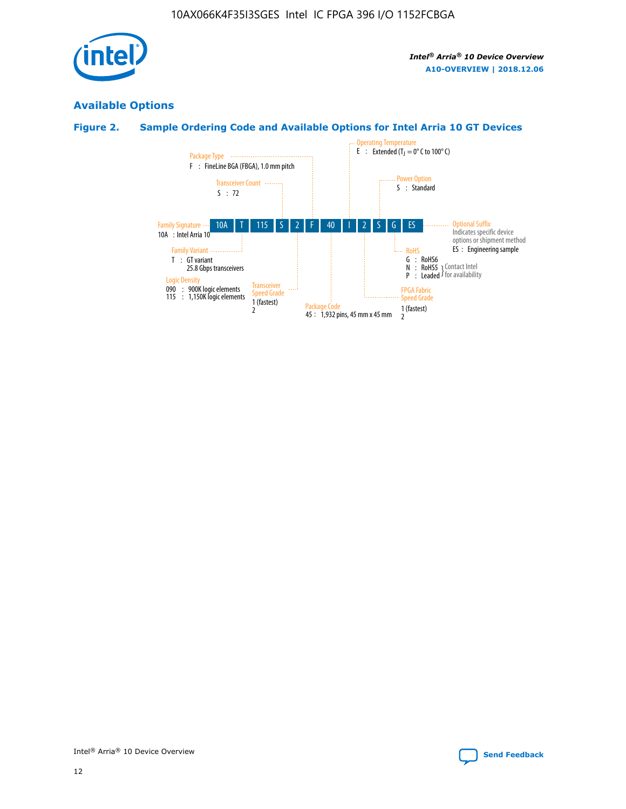

## **Available Options**

## **Figure 2. Sample Ordering Code and Available Options for Intel Arria 10 GT Devices**

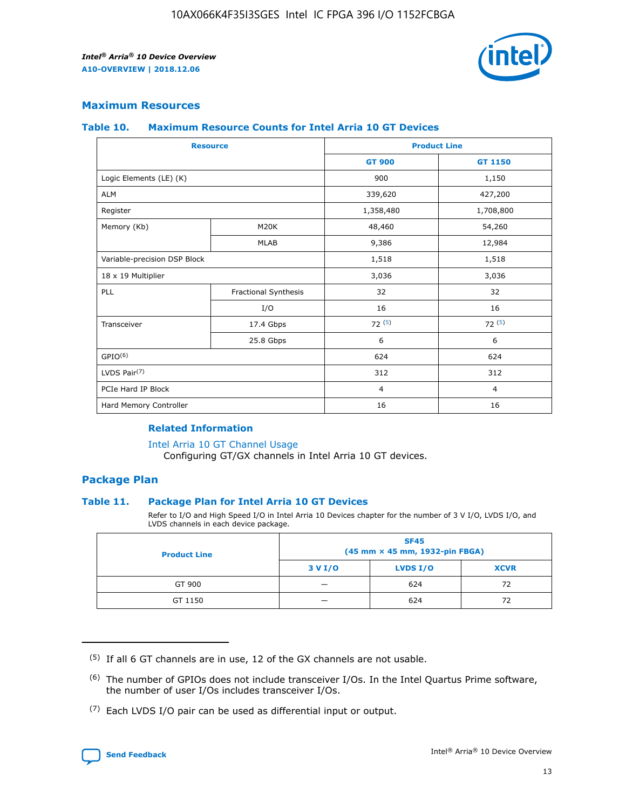

## **Maximum Resources**

#### **Table 10. Maximum Resource Counts for Intel Arria 10 GT Devices**

| <b>Resource</b>              |                      |                | <b>Product Line</b> |  |
|------------------------------|----------------------|----------------|---------------------|--|
|                              |                      | <b>GT 900</b>  | <b>GT 1150</b>      |  |
| Logic Elements (LE) (K)      |                      | 900            | 1,150               |  |
| <b>ALM</b>                   |                      | 339,620        | 427,200             |  |
| Register                     |                      | 1,358,480      | 1,708,800           |  |
| Memory (Kb)                  | M20K                 | 48,460         | 54,260              |  |
|                              | <b>MLAB</b>          | 9,386          | 12,984              |  |
| Variable-precision DSP Block |                      | 1,518          | 1,518               |  |
| 18 x 19 Multiplier           |                      | 3,036          | 3,036               |  |
| PLL                          | Fractional Synthesis | 32             | 32                  |  |
|                              | I/O                  | 16             | 16                  |  |
| Transceiver                  | 17.4 Gbps            | 72(5)          | 72(5)               |  |
|                              | 25.8 Gbps            | 6              | 6                   |  |
| GPIO <sup>(6)</sup>          |                      | 624            | 624                 |  |
| LVDS Pair $(7)$              |                      | 312            | 312                 |  |
| PCIe Hard IP Block           |                      | $\overline{4}$ | $\overline{4}$      |  |
| Hard Memory Controller       |                      | 16             | 16                  |  |

#### **Related Information**

#### [Intel Arria 10 GT Channel Usage](https://www.intel.com/content/www/us/en/programmable/documentation/nik1398707230472.html#nik1398707008178)

Configuring GT/GX channels in Intel Arria 10 GT devices.

## **Package Plan**

### **Table 11. Package Plan for Intel Arria 10 GT Devices**

Refer to I/O and High Speed I/O in Intel Arria 10 Devices chapter for the number of 3 V I/O, LVDS I/O, and LVDS channels in each device package.

| <b>Product Line</b> | <b>SF45</b><br>(45 mm × 45 mm, 1932-pin FBGA) |                 |             |  |  |  |
|---------------------|-----------------------------------------------|-----------------|-------------|--|--|--|
|                     | 3 V I/O                                       | <b>LVDS I/O</b> | <b>XCVR</b> |  |  |  |
| GT 900              |                                               | 624             | 72          |  |  |  |
| GT 1150             |                                               | 624             | 72          |  |  |  |

<sup>(7)</sup> Each LVDS I/O pair can be used as differential input or output.



 $(5)$  If all 6 GT channels are in use, 12 of the GX channels are not usable.

<sup>(6)</sup> The number of GPIOs does not include transceiver I/Os. In the Intel Quartus Prime software, the number of user I/Os includes transceiver I/Os.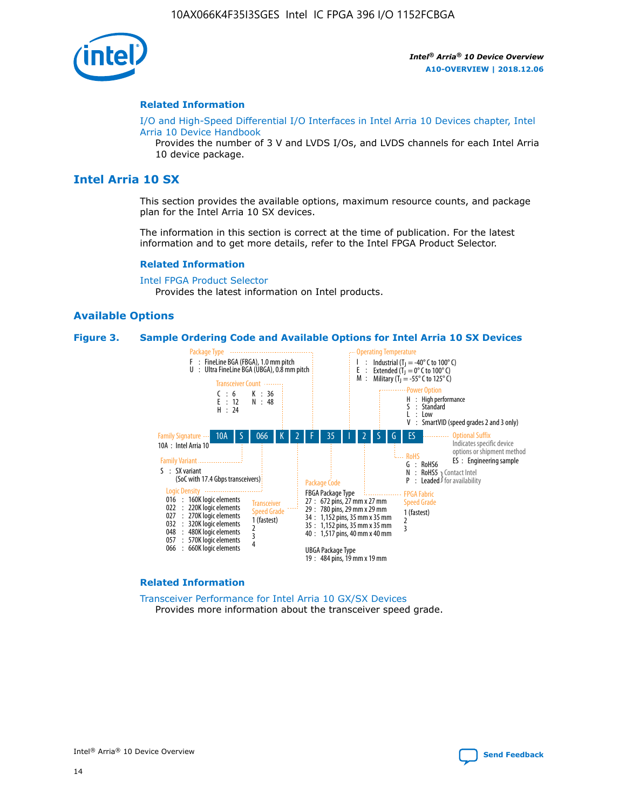

#### **Related Information**

[I/O and High-Speed Differential I/O Interfaces in Intel Arria 10 Devices chapter, Intel](https://www.intel.com/content/www/us/en/programmable/documentation/sam1403482614086.html#sam1403482030321) [Arria 10 Device Handbook](https://www.intel.com/content/www/us/en/programmable/documentation/sam1403482614086.html#sam1403482030321)

Provides the number of 3 V and LVDS I/Os, and LVDS channels for each Intel Arria 10 device package.

## **Intel Arria 10 SX**

This section provides the available options, maximum resource counts, and package plan for the Intel Arria 10 SX devices.

The information in this section is correct at the time of publication. For the latest information and to get more details, refer to the Intel FPGA Product Selector.

#### **Related Information**

[Intel FPGA Product Selector](http://www.altera.com/products/selector/psg-selector.html) Provides the latest information on Intel products.

### **Available Options**

#### **Figure 3. Sample Ordering Code and Available Options for Intel Arria 10 SX Devices**



#### **Related Information**

[Transceiver Performance for Intel Arria 10 GX/SX Devices](https://www.intel.com/content/www/us/en/programmable/documentation/mcn1413182292568.html#mcn1413213965502) Provides more information about the transceiver speed grade.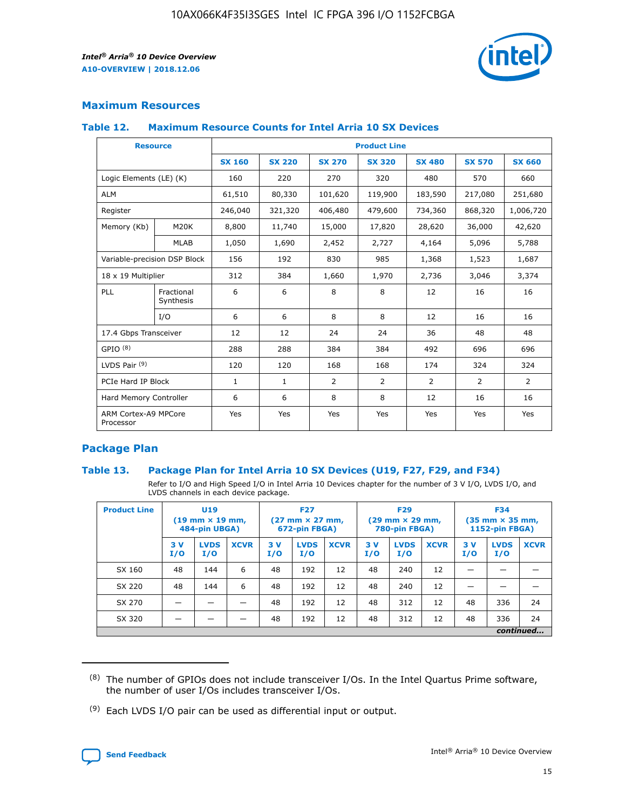

## **Maximum Resources**

#### **Table 12. Maximum Resource Counts for Intel Arria 10 SX Devices**

|                                   | <b>Resource</b>         | <b>Product Line</b> |               |                |                |                |                |                |  |  |  |
|-----------------------------------|-------------------------|---------------------|---------------|----------------|----------------|----------------|----------------|----------------|--|--|--|
|                                   |                         | <b>SX 160</b>       | <b>SX 220</b> | <b>SX 270</b>  | <b>SX 320</b>  | <b>SX 480</b>  | <b>SX 570</b>  | <b>SX 660</b>  |  |  |  |
| Logic Elements (LE) (K)           |                         | 160                 | 220           | 270            | 320            | 480            | 570            | 660            |  |  |  |
| <b>ALM</b>                        |                         | 61,510              | 80,330        | 101,620        | 119,900        | 183,590        | 217,080        | 251,680        |  |  |  |
| Register                          |                         | 246,040             | 321,320       | 406,480        | 479,600        | 734,360        | 868,320        | 1,006,720      |  |  |  |
| Memory (Kb)                       | <b>M20K</b>             | 8,800               | 11,740        | 15,000         | 17,820         | 28,620         | 36,000         | 42,620         |  |  |  |
|                                   | <b>MLAB</b>             | 1,050               | 1,690         | 2,452          | 2,727          | 4,164          | 5,096          | 5,788          |  |  |  |
| Variable-precision DSP Block      |                         | 156                 | 192           | 830            | 985            | 1,368          | 1,523          | 1,687          |  |  |  |
| 18 x 19 Multiplier                |                         | 312                 | 384           | 1,660          | 1,970          | 2,736          | 3,046          | 3,374          |  |  |  |
| <b>PLL</b>                        | Fractional<br>Synthesis | 6                   | 6             | 8              | 8              | 12             | 16             | 16             |  |  |  |
|                                   | I/O                     | 6                   | 6             | 8              | 8              | 12             | 16             | 16             |  |  |  |
| 17.4 Gbps Transceiver             |                         | 12                  | 12            | 24             | 24             | 36             | 48             | 48             |  |  |  |
| GPIO <sup>(8)</sup>               |                         | 288                 | 288           | 384            | 384            | 492            | 696            | 696            |  |  |  |
| LVDS Pair $(9)$                   |                         | 120                 | 120           | 168            | 168            | 174            | 324            | 324            |  |  |  |
| PCIe Hard IP Block                |                         | $\mathbf{1}$        | $\mathbf{1}$  | $\overline{2}$ | $\overline{2}$ | $\overline{2}$ | $\overline{2}$ | $\overline{2}$ |  |  |  |
| Hard Memory Controller            |                         | 6                   | 6             | 8              | 8              | 12             | 16             | 16             |  |  |  |
| ARM Cortex-A9 MPCore<br>Processor |                         | Yes                 | Yes           | Yes            | Yes            | Yes            | Yes            | Yes            |  |  |  |

## **Package Plan**

### **Table 13. Package Plan for Intel Arria 10 SX Devices (U19, F27, F29, and F34)**

Refer to I/O and High Speed I/O in Intel Arria 10 Devices chapter for the number of 3 V I/O, LVDS I/O, and LVDS channels in each device package.

| <b>Product Line</b> | U19<br>$(19 \text{ mm} \times 19 \text{ mm})$<br>484-pin UBGA) |                    |             | <b>F27</b><br>$(27 \text{ mm} \times 27 \text{ mm})$ .<br>672-pin FBGA) |                    | <b>F29</b><br>$(29 \text{ mm} \times 29 \text{ mm})$ .<br>780-pin FBGA) |            |                    | <b>F34</b><br>$(35 \text{ mm} \times 35 \text{ mm})$<br><b>1152-pin FBGA)</b> |           |                    |             |
|---------------------|----------------------------------------------------------------|--------------------|-------------|-------------------------------------------------------------------------|--------------------|-------------------------------------------------------------------------|------------|--------------------|-------------------------------------------------------------------------------|-----------|--------------------|-------------|
|                     | 3V<br>I/O                                                      | <b>LVDS</b><br>I/O | <b>XCVR</b> | 3V<br>I/O                                                               | <b>LVDS</b><br>I/O | <b>XCVR</b>                                                             | 3 V<br>I/O | <b>LVDS</b><br>I/O | <b>XCVR</b>                                                                   | 3V<br>I/O | <b>LVDS</b><br>I/O | <b>XCVR</b> |
| SX 160              | 48                                                             | 144                | 6           | 48                                                                      | 192                | 12                                                                      | 48         | 240                | 12                                                                            |           |                    |             |
| SX 220              | 48                                                             | 144                | 6           | 48                                                                      | 192                | 12                                                                      | 48         | 240                | 12                                                                            |           |                    |             |
| SX 270              |                                                                |                    |             | 48                                                                      | 192                | 12                                                                      | 48         | 312                | 12                                                                            | 48        | 336                | 24          |
| SX 320              |                                                                |                    |             | 48                                                                      | 192                | 12                                                                      | 48         | 312                | 12                                                                            | 48        | 336                | 24          |
|                     | continued                                                      |                    |             |                                                                         |                    |                                                                         |            |                    |                                                                               |           |                    |             |

 $(8)$  The number of GPIOs does not include transceiver I/Os. In the Intel Quartus Prime software, the number of user I/Os includes transceiver I/Os.

 $(9)$  Each LVDS I/O pair can be used as differential input or output.

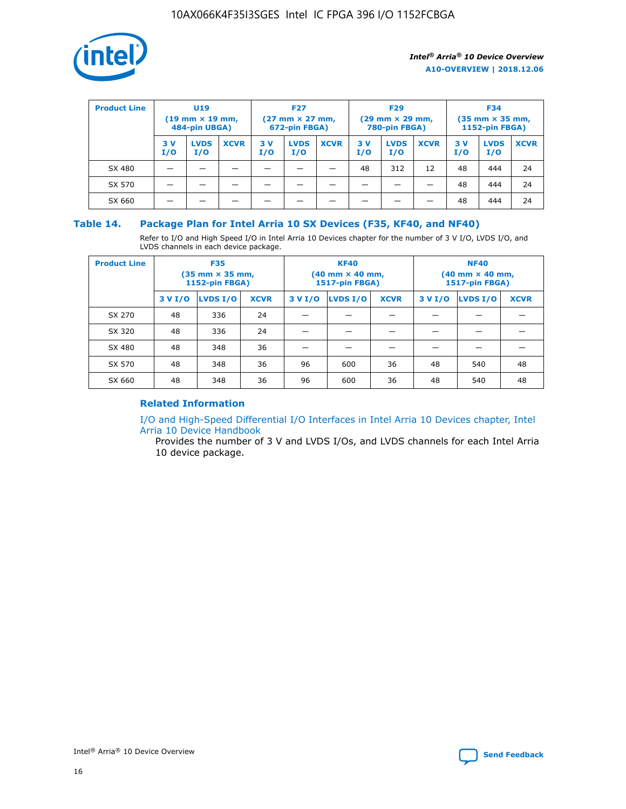

| <b>Product Line</b> | U <sub>19</sub><br>$(19 \text{ mm} \times 19 \text{ mm})$<br>484-pin UBGA) |                    | <b>F27</b><br>$(27 \text{ mm} \times 27 \text{ mm})$<br>672-pin FBGA) |           | <b>F29</b><br>$(29 \text{ mm} \times 29 \text{ mm})$<br>780-pin FBGA) |             |           | <b>F34</b><br>$(35 \text{ mm} \times 35 \text{ mm})$<br><b>1152-pin FBGA)</b> |             |           |                    |             |
|---------------------|----------------------------------------------------------------------------|--------------------|-----------------------------------------------------------------------|-----------|-----------------------------------------------------------------------|-------------|-----------|-------------------------------------------------------------------------------|-------------|-----------|--------------------|-------------|
|                     | 3 V<br>I/O                                                                 | <b>LVDS</b><br>I/O | <b>XCVR</b>                                                           | 3V<br>I/O | <b>LVDS</b><br>I/O                                                    | <b>XCVR</b> | 3V<br>I/O | <b>LVDS</b><br>I/O                                                            | <b>XCVR</b> | 3V<br>I/O | <b>LVDS</b><br>I/O | <b>XCVR</b> |
| SX 480              |                                                                            |                    |                                                                       |           |                                                                       |             | 48        | 312                                                                           | 12          | 48        | 444                | 24          |
| SX 570              |                                                                            |                    |                                                                       |           |                                                                       |             |           |                                                                               |             | 48        | 444                | 24          |
| SX 660              |                                                                            |                    |                                                                       |           |                                                                       |             |           |                                                                               |             | 48        | 444                | 24          |

## **Table 14. Package Plan for Intel Arria 10 SX Devices (F35, KF40, and NF40)**

Refer to I/O and High Speed I/O in Intel Arria 10 Devices chapter for the number of 3 V I/O, LVDS I/O, and LVDS channels in each device package.

| <b>Product Line</b> | <b>F35</b><br>$(35 \text{ mm} \times 35 \text{ mm})$<br><b>1152-pin FBGA)</b> |          |             |                                           | <b>KF40</b><br>(40 mm × 40 mm,<br>1517-pin FBGA) |    | <b>NF40</b><br>$(40 \text{ mm} \times 40 \text{ mm})$<br>1517-pin FBGA) |          |             |  |
|---------------------|-------------------------------------------------------------------------------|----------|-------------|-------------------------------------------|--------------------------------------------------|----|-------------------------------------------------------------------------|----------|-------------|--|
|                     | 3 V I/O                                                                       | LVDS I/O | <b>XCVR</b> | <b>LVDS I/O</b><br><b>XCVR</b><br>3 V I/O |                                                  |    | 3 V I/O                                                                 | LVDS I/O | <b>XCVR</b> |  |
| SX 270              | 48                                                                            | 336      | 24          |                                           |                                                  |    |                                                                         |          |             |  |
| SX 320              | 48                                                                            | 336      | 24          |                                           |                                                  |    |                                                                         |          |             |  |
| SX 480              | 48                                                                            | 348      | 36          |                                           |                                                  |    |                                                                         |          |             |  |
| SX 570              | 48                                                                            | 348      | 36          | 96<br>36<br>600                           |                                                  | 48 | 540                                                                     | 48       |             |  |
| SX 660              | 48                                                                            | 348      | 36          | 96                                        | 600                                              | 36 | 48                                                                      | 540      | 48          |  |

## **Related Information**

[I/O and High-Speed Differential I/O Interfaces in Intel Arria 10 Devices chapter, Intel](https://www.intel.com/content/www/us/en/programmable/documentation/sam1403482614086.html#sam1403482030321) [Arria 10 Device Handbook](https://www.intel.com/content/www/us/en/programmable/documentation/sam1403482614086.html#sam1403482030321)

Provides the number of 3 V and LVDS I/Os, and LVDS channels for each Intel Arria 10 device package.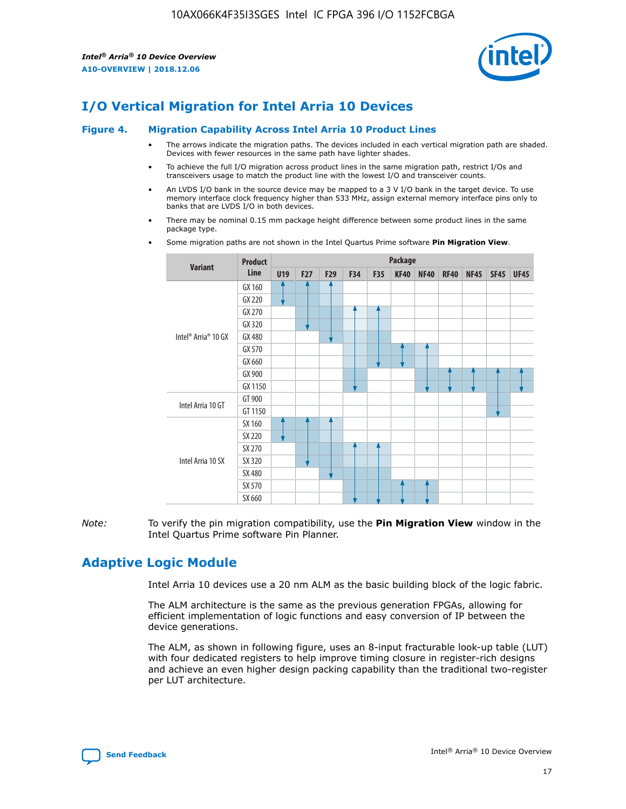

# **I/O Vertical Migration for Intel Arria 10 Devices**

#### **Figure 4. Migration Capability Across Intel Arria 10 Product Lines**

- The arrows indicate the migration paths. The devices included in each vertical migration path are shaded. Devices with fewer resources in the same path have lighter shades.
- To achieve the full I/O migration across product lines in the same migration path, restrict I/Os and transceivers usage to match the product line with the lowest I/O and transceiver counts.
- An LVDS I/O bank in the source device may be mapped to a 3 V I/O bank in the target device. To use memory interface clock frequency higher than 533 MHz, assign external memory interface pins only to banks that are LVDS I/O in both devices.
- There may be nominal 0.15 mm package height difference between some product lines in the same package type.
	- **Variant Product Line Package U19 F27 F29 F34 F35 KF40 NF40 RF40 NF45 SF45 UF45** Intel® Arria® 10 GX GX 160 GX 220 GX 270 GX 320 GX 480 GX 570 GX 660 GX 900 GX 1150 Intel Arria 10 GT GT 900 GT 1150 Intel Arria 10 SX SX 160 SX 220 SX 270 SX 320 SX 480 SX 570 SX 660
- Some migration paths are not shown in the Intel Quartus Prime software **Pin Migration View**.

*Note:* To verify the pin migration compatibility, use the **Pin Migration View** window in the Intel Quartus Prime software Pin Planner.

## **Adaptive Logic Module**

Intel Arria 10 devices use a 20 nm ALM as the basic building block of the logic fabric.

The ALM architecture is the same as the previous generation FPGAs, allowing for efficient implementation of logic functions and easy conversion of IP between the device generations.

The ALM, as shown in following figure, uses an 8-input fracturable look-up table (LUT) with four dedicated registers to help improve timing closure in register-rich designs and achieve an even higher design packing capability than the traditional two-register per LUT architecture.

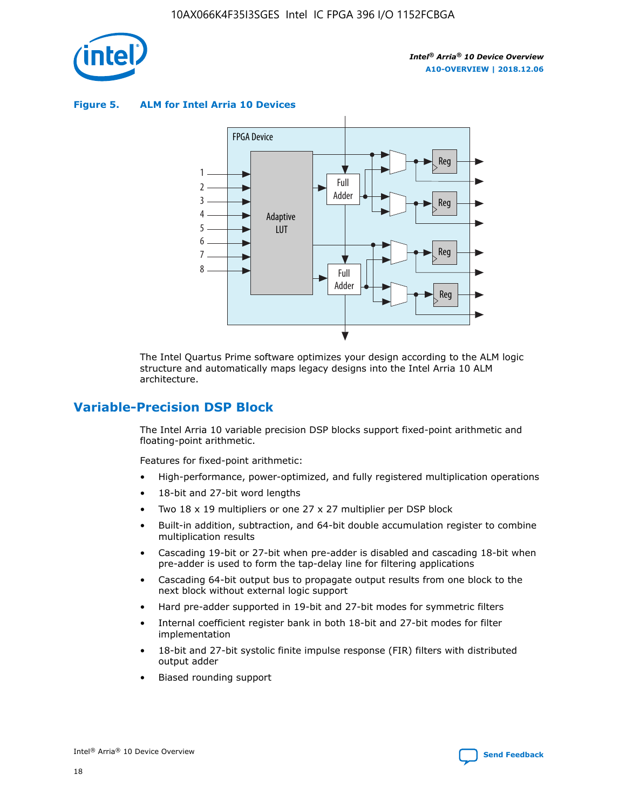

**Figure 5. ALM for Intel Arria 10 Devices**



The Intel Quartus Prime software optimizes your design according to the ALM logic structure and automatically maps legacy designs into the Intel Arria 10 ALM architecture.

## **Variable-Precision DSP Block**

The Intel Arria 10 variable precision DSP blocks support fixed-point arithmetic and floating-point arithmetic.

Features for fixed-point arithmetic:

- High-performance, power-optimized, and fully registered multiplication operations
- 18-bit and 27-bit word lengths
- Two 18 x 19 multipliers or one 27 x 27 multiplier per DSP block
- Built-in addition, subtraction, and 64-bit double accumulation register to combine multiplication results
- Cascading 19-bit or 27-bit when pre-adder is disabled and cascading 18-bit when pre-adder is used to form the tap-delay line for filtering applications
- Cascading 64-bit output bus to propagate output results from one block to the next block without external logic support
- Hard pre-adder supported in 19-bit and 27-bit modes for symmetric filters
- Internal coefficient register bank in both 18-bit and 27-bit modes for filter implementation
- 18-bit and 27-bit systolic finite impulse response (FIR) filters with distributed output adder
- Biased rounding support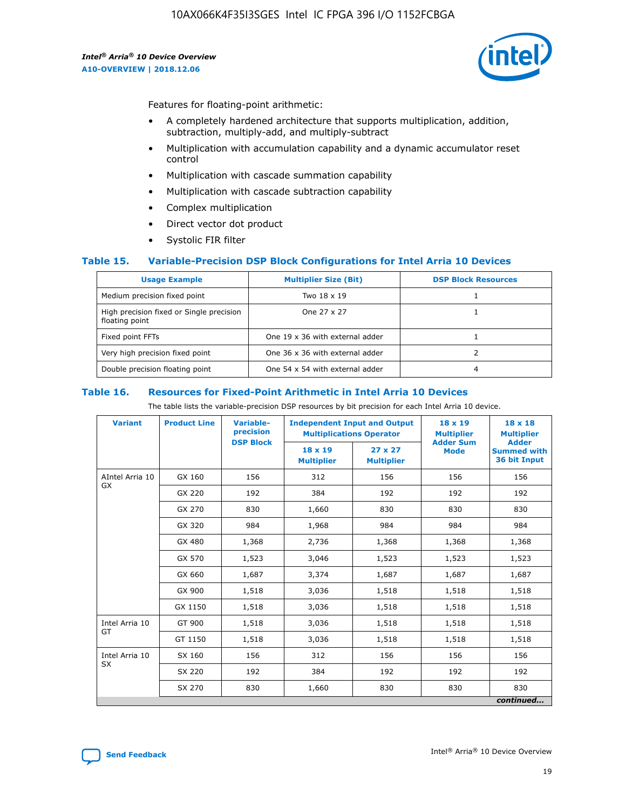

Features for floating-point arithmetic:

- A completely hardened architecture that supports multiplication, addition, subtraction, multiply-add, and multiply-subtract
- Multiplication with accumulation capability and a dynamic accumulator reset control
- Multiplication with cascade summation capability
- Multiplication with cascade subtraction capability
- Complex multiplication
- Direct vector dot product
- Systolic FIR filter

### **Table 15. Variable-Precision DSP Block Configurations for Intel Arria 10 Devices**

| <b>Usage Example</b>                                       | <b>Multiplier Size (Bit)</b>    | <b>DSP Block Resources</b> |
|------------------------------------------------------------|---------------------------------|----------------------------|
| Medium precision fixed point                               | Two 18 x 19                     |                            |
| High precision fixed or Single precision<br>floating point | One 27 x 27                     |                            |
| Fixed point FFTs                                           | One 19 x 36 with external adder |                            |
| Very high precision fixed point                            | One 36 x 36 with external adder |                            |
| Double precision floating point                            | One 54 x 54 with external adder | 4                          |

#### **Table 16. Resources for Fixed-Point Arithmetic in Intel Arria 10 Devices**

The table lists the variable-precision DSP resources by bit precision for each Intel Arria 10 device.

| <b>Variant</b>  | <b>Product Line</b> | <b>Variable-</b><br>precision<br><b>DSP Block</b> | <b>Independent Input and Output</b><br><b>Multiplications Operator</b> |                                     | 18 x 19<br><b>Multiplier</b><br><b>Adder Sum</b> | $18 \times 18$<br><b>Multiplier</b><br><b>Adder</b> |
|-----------------|---------------------|---------------------------------------------------|------------------------------------------------------------------------|-------------------------------------|--------------------------------------------------|-----------------------------------------------------|
|                 |                     |                                                   | 18 x 19<br><b>Multiplier</b>                                           | $27 \times 27$<br><b>Multiplier</b> | <b>Mode</b>                                      | <b>Summed with</b><br>36 bit Input                  |
| AIntel Arria 10 | GX 160              | 156                                               | 312                                                                    | 156                                 | 156                                              | 156                                                 |
| GX              | GX 220              | 192                                               | 384                                                                    | 192                                 | 192                                              | 192                                                 |
|                 | GX 270              | 830                                               | 1,660                                                                  | 830                                 | 830                                              | 830                                                 |
|                 | GX 320              | 984                                               | 1,968                                                                  | 984                                 | 984                                              | 984                                                 |
|                 | GX 480              | 1,368                                             | 2,736                                                                  | 1,368                               | 1,368                                            | 1,368                                               |
|                 | GX 570              | 1,523                                             | 3,046                                                                  | 1,523                               | 1,523                                            | 1,523                                               |
|                 | GX 660              | 1,687                                             | 3,374                                                                  | 1,687                               | 1,687                                            | 1,687                                               |
|                 | GX 900              | 1,518                                             | 3,036                                                                  | 1,518                               | 1,518                                            | 1,518                                               |
|                 | GX 1150             | 1,518                                             | 3,036                                                                  | 1,518                               | 1,518                                            | 1,518                                               |
| Intel Arria 10  | GT 900              | 1,518                                             | 3,036                                                                  | 1,518                               | 1,518                                            | 1,518                                               |
| GT              | GT 1150             | 1,518                                             | 3,036                                                                  | 1,518                               | 1,518                                            | 1,518                                               |
| Intel Arria 10  | SX 160              | 156                                               | 312                                                                    | 156                                 | 156                                              | 156                                                 |
| <b>SX</b>       | SX 220              | 192                                               | 384                                                                    | 192                                 | 192                                              | 192                                                 |
|                 | SX 270              | 830                                               | 830<br>1,660                                                           |                                     | 830                                              | 830                                                 |
|                 |                     |                                                   |                                                                        |                                     |                                                  | continued                                           |

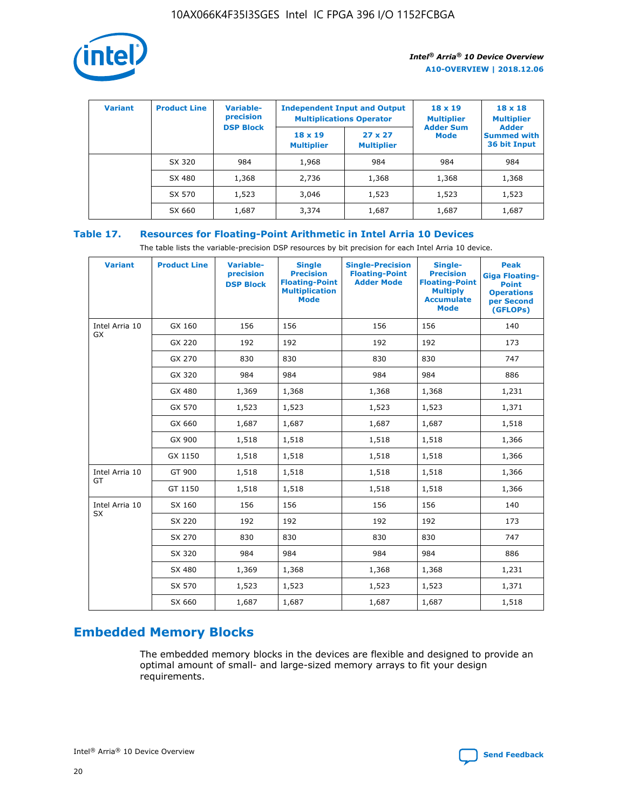

| <b>Variant</b> | <b>Product Line</b> | <b>Variable-</b><br>precision |                                     | <b>Independent Input and Output</b><br><b>Multiplications Operator</b> | $18 \times 19$<br><b>Multiplier</b> | $18 \times 18$<br><b>Multiplier</b><br><b>Adder</b> |  |
|----------------|---------------------|-------------------------------|-------------------------------------|------------------------------------------------------------------------|-------------------------------------|-----------------------------------------------------|--|
|                |                     | <b>DSP Block</b>              | $18 \times 19$<br><b>Multiplier</b> | $27 \times 27$<br><b>Multiplier</b>                                    | <b>Adder Sum</b><br>Mode            | <b>Summed with</b><br>36 bit Input                  |  |
|                | SX 320              | 984                           | 1,968                               | 984                                                                    | 984                                 | 984                                                 |  |
|                | SX 480              | 1,368                         | 2,736                               | 1,368                                                                  | 1,368                               | 1,368                                               |  |
|                | SX 570              | 1,523                         | 3,046                               | 1,523                                                                  | 1,523                               | 1,523                                               |  |
|                | SX 660              | 1,687                         | 3,374                               | 1,687                                                                  | 1,687                               | 1,687                                               |  |

## **Table 17. Resources for Floating-Point Arithmetic in Intel Arria 10 Devices**

The table lists the variable-precision DSP resources by bit precision for each Intel Arria 10 device.

| <b>Variant</b> | <b>Product Line</b> | <b>Variable-</b><br>precision<br><b>DSP Block</b> | <b>Single</b><br><b>Precision</b><br><b>Floating-Point</b><br><b>Multiplication</b><br><b>Mode</b> | <b>Single-Precision</b><br><b>Floating-Point</b><br><b>Adder Mode</b> | Single-<br><b>Precision</b><br><b>Floating-Point</b><br><b>Multiply</b><br><b>Accumulate</b><br><b>Mode</b> | <b>Peak</b><br><b>Giga Floating-</b><br><b>Point</b><br><b>Operations</b><br>per Second<br>(GFLOPs) |
|----------------|---------------------|---------------------------------------------------|----------------------------------------------------------------------------------------------------|-----------------------------------------------------------------------|-------------------------------------------------------------------------------------------------------------|-----------------------------------------------------------------------------------------------------|
| Intel Arria 10 | GX 160              | 156                                               | 156                                                                                                | 156                                                                   | 156                                                                                                         | 140                                                                                                 |
| GX             | GX 220              | 192                                               | 192                                                                                                | 192                                                                   | 192                                                                                                         | 173                                                                                                 |
|                | GX 270              | 830                                               | 830                                                                                                | 830                                                                   | 830                                                                                                         | 747                                                                                                 |
|                | GX 320              | 984                                               | 984                                                                                                | 984                                                                   | 984                                                                                                         | 886                                                                                                 |
|                | GX 480              | 1,369                                             | 1,368                                                                                              | 1,368                                                                 | 1,368                                                                                                       | 1,231                                                                                               |
|                | GX 570              | 1,523                                             | 1,523                                                                                              | 1,523                                                                 | 1,523                                                                                                       | 1,371                                                                                               |
|                | GX 660              | 1,687                                             | 1,687                                                                                              | 1,687                                                                 | 1,687                                                                                                       | 1,518                                                                                               |
|                | GX 900              | 1,518                                             | 1,518                                                                                              | 1,518                                                                 | 1,518                                                                                                       | 1,366                                                                                               |
|                | GX 1150             | 1,518                                             | 1,518                                                                                              | 1,518                                                                 | 1,518                                                                                                       | 1,366                                                                                               |
| Intel Arria 10 | GT 900              | 1,518                                             | 1,518                                                                                              | 1,518                                                                 | 1,518                                                                                                       | 1,366                                                                                               |
| GT             | GT 1150             | 1,518                                             | 1,518                                                                                              | 1,518                                                                 | 1,518                                                                                                       | 1,366                                                                                               |
| Intel Arria 10 | SX 160              | 156                                               | 156                                                                                                | 156                                                                   | 156                                                                                                         | 140                                                                                                 |
| <b>SX</b>      | SX 220              | 192                                               | 192                                                                                                | 192                                                                   | 192                                                                                                         | 173                                                                                                 |
|                | SX 270              | 830                                               | 830                                                                                                | 830                                                                   | 830                                                                                                         | 747                                                                                                 |
|                | SX 320              | 984                                               | 984                                                                                                | 984                                                                   | 984                                                                                                         | 886                                                                                                 |
|                | SX 480              | 1,369                                             | 1,368                                                                                              | 1,368                                                                 | 1,368                                                                                                       | 1,231                                                                                               |
|                | SX 570              | 1,523                                             | 1,523                                                                                              | 1,523                                                                 | 1,523                                                                                                       | 1,371                                                                                               |
|                | SX 660              | 1,687                                             | 1,687                                                                                              | 1,687                                                                 | 1,687                                                                                                       | 1,518                                                                                               |

# **Embedded Memory Blocks**

The embedded memory blocks in the devices are flexible and designed to provide an optimal amount of small- and large-sized memory arrays to fit your design requirements.

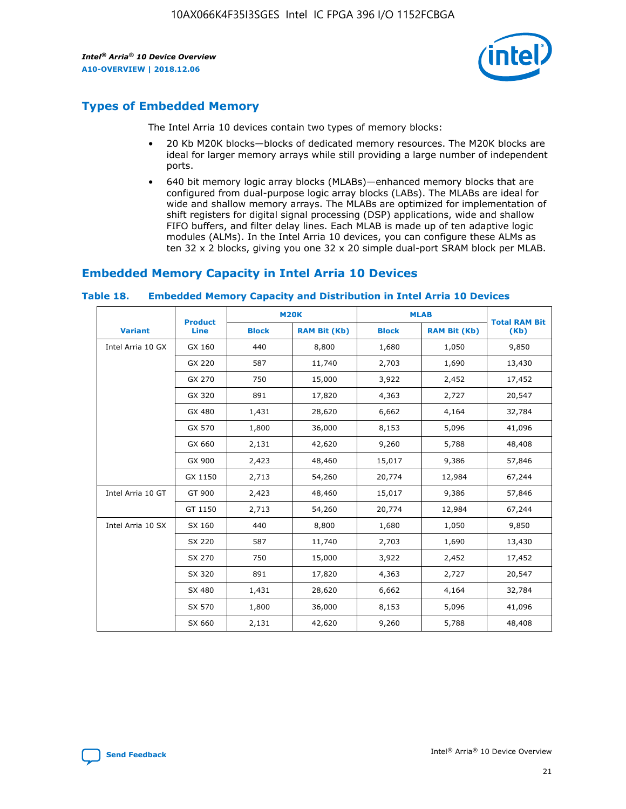

## **Types of Embedded Memory**

The Intel Arria 10 devices contain two types of memory blocks:

- 20 Kb M20K blocks—blocks of dedicated memory resources. The M20K blocks are ideal for larger memory arrays while still providing a large number of independent ports.
- 640 bit memory logic array blocks (MLABs)—enhanced memory blocks that are configured from dual-purpose logic array blocks (LABs). The MLABs are ideal for wide and shallow memory arrays. The MLABs are optimized for implementation of shift registers for digital signal processing (DSP) applications, wide and shallow FIFO buffers, and filter delay lines. Each MLAB is made up of ten adaptive logic modules (ALMs). In the Intel Arria 10 devices, you can configure these ALMs as ten 32 x 2 blocks, giving you one 32 x 20 simple dual-port SRAM block per MLAB.

## **Embedded Memory Capacity in Intel Arria 10 Devices**

|                   | <b>Product</b> |              | <b>M20K</b>         | <b>MLAB</b>  |                     | <b>Total RAM Bit</b> |
|-------------------|----------------|--------------|---------------------|--------------|---------------------|----------------------|
| <b>Variant</b>    | <b>Line</b>    | <b>Block</b> | <b>RAM Bit (Kb)</b> | <b>Block</b> | <b>RAM Bit (Kb)</b> | (Kb)                 |
| Intel Arria 10 GX | GX 160         | 440          | 8,800               | 1,680        | 1,050               | 9,850                |
|                   | GX 220         | 587          | 11,740              | 2,703        | 1,690               | 13,430               |
|                   | GX 270         | 750          | 15,000              | 3,922        | 2,452               | 17,452               |
|                   | GX 320         | 891          | 17,820              | 4,363        | 2,727               | 20,547               |
|                   | GX 480         | 1,431        | 28,620              | 6,662        | 4,164               | 32,784               |
|                   | GX 570         | 1,800        | 36,000              | 8,153        | 5,096               | 41,096               |
|                   | GX 660         | 2,131        | 42,620              | 9,260        | 5,788               | 48,408               |
|                   | GX 900         | 2,423        | 48,460              | 15,017       | 9,386               | 57,846               |
|                   | GX 1150        | 2,713        | 54,260              | 20,774       | 12,984              | 67,244               |
| Intel Arria 10 GT | GT 900         | 2,423        | 48,460              | 15,017       | 9,386               | 57,846               |
|                   | GT 1150        | 2,713        | 54,260              | 20,774       | 12,984              | 67,244               |
| Intel Arria 10 SX | SX 160         | 440          | 8,800               | 1,680        | 1,050               | 9,850                |
|                   | SX 220         | 587          | 11,740              | 2,703        | 1,690               | 13,430               |
|                   | SX 270         | 750          | 15,000              | 3,922        | 2,452               | 17,452               |
|                   | SX 320         | 891          | 17,820              | 4,363        | 2,727               | 20,547               |
|                   | SX 480         | 1,431        | 28,620              | 6,662        | 4,164               | 32,784               |
|                   | SX 570         | 1,800        | 36,000              | 8,153        | 5,096               | 41,096               |
|                   | SX 660         | 2,131        | 42,620              | 9,260        | 5,788               | 48,408               |

#### **Table 18. Embedded Memory Capacity and Distribution in Intel Arria 10 Devices**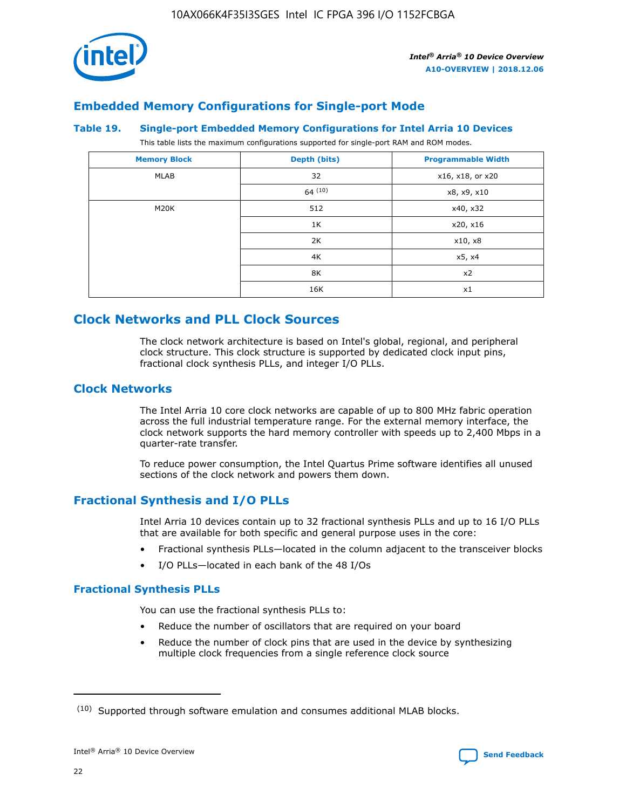

## **Embedded Memory Configurations for Single-port Mode**

#### **Table 19. Single-port Embedded Memory Configurations for Intel Arria 10 Devices**

This table lists the maximum configurations supported for single-port RAM and ROM modes.

| <b>Memory Block</b> | Depth (bits) | <b>Programmable Width</b> |
|---------------------|--------------|---------------------------|
| MLAB                | 32           | x16, x18, or x20          |
|                     | 64(10)       | x8, x9, x10               |
| M20K                | 512          | x40, x32                  |
|                     | 1K           | x20, x16                  |
|                     | 2K           | x10, x8                   |
|                     | 4K           | x5, x4                    |
|                     | 8K           | x2                        |
|                     | 16K          | x1                        |

## **Clock Networks and PLL Clock Sources**

The clock network architecture is based on Intel's global, regional, and peripheral clock structure. This clock structure is supported by dedicated clock input pins, fractional clock synthesis PLLs, and integer I/O PLLs.

## **Clock Networks**

The Intel Arria 10 core clock networks are capable of up to 800 MHz fabric operation across the full industrial temperature range. For the external memory interface, the clock network supports the hard memory controller with speeds up to 2,400 Mbps in a quarter-rate transfer.

To reduce power consumption, the Intel Quartus Prime software identifies all unused sections of the clock network and powers them down.

## **Fractional Synthesis and I/O PLLs**

Intel Arria 10 devices contain up to 32 fractional synthesis PLLs and up to 16 I/O PLLs that are available for both specific and general purpose uses in the core:

- Fractional synthesis PLLs—located in the column adjacent to the transceiver blocks
- I/O PLLs—located in each bank of the 48 I/Os

## **Fractional Synthesis PLLs**

You can use the fractional synthesis PLLs to:

- Reduce the number of oscillators that are required on your board
- Reduce the number of clock pins that are used in the device by synthesizing multiple clock frequencies from a single reference clock source

<sup>(10)</sup> Supported through software emulation and consumes additional MLAB blocks.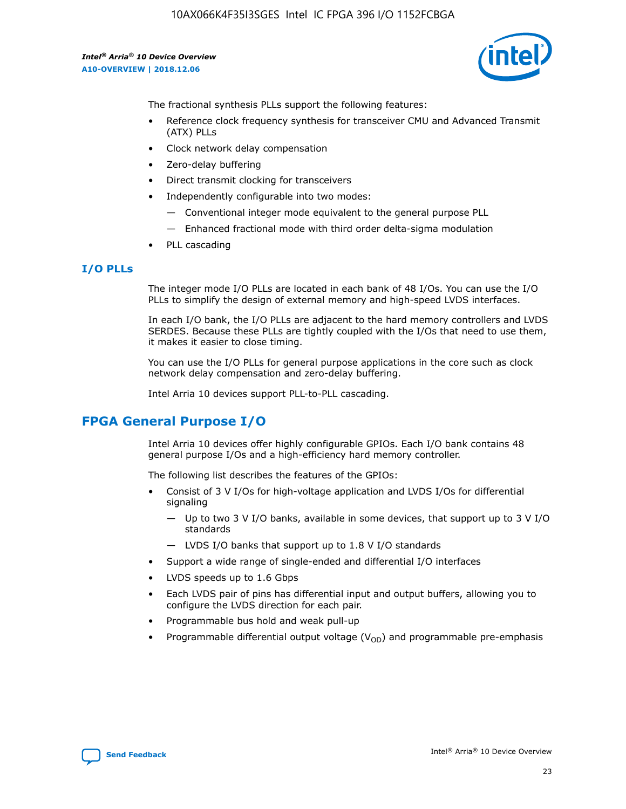

The fractional synthesis PLLs support the following features:

- Reference clock frequency synthesis for transceiver CMU and Advanced Transmit (ATX) PLLs
- Clock network delay compensation
- Zero-delay buffering
- Direct transmit clocking for transceivers
- Independently configurable into two modes:
	- Conventional integer mode equivalent to the general purpose PLL
	- Enhanced fractional mode with third order delta-sigma modulation
- PLL cascading

## **I/O PLLs**

The integer mode I/O PLLs are located in each bank of 48 I/Os. You can use the I/O PLLs to simplify the design of external memory and high-speed LVDS interfaces.

In each I/O bank, the I/O PLLs are adjacent to the hard memory controllers and LVDS SERDES. Because these PLLs are tightly coupled with the I/Os that need to use them, it makes it easier to close timing.

You can use the I/O PLLs for general purpose applications in the core such as clock network delay compensation and zero-delay buffering.

Intel Arria 10 devices support PLL-to-PLL cascading.

## **FPGA General Purpose I/O**

Intel Arria 10 devices offer highly configurable GPIOs. Each I/O bank contains 48 general purpose I/Os and a high-efficiency hard memory controller.

The following list describes the features of the GPIOs:

- Consist of 3 V I/Os for high-voltage application and LVDS I/Os for differential signaling
	- Up to two 3 V I/O banks, available in some devices, that support up to 3 V I/O standards
	- LVDS I/O banks that support up to 1.8 V I/O standards
- Support a wide range of single-ended and differential I/O interfaces
- LVDS speeds up to 1.6 Gbps
- Each LVDS pair of pins has differential input and output buffers, allowing you to configure the LVDS direction for each pair.
- Programmable bus hold and weak pull-up
- Programmable differential output voltage  $(V_{OD})$  and programmable pre-emphasis

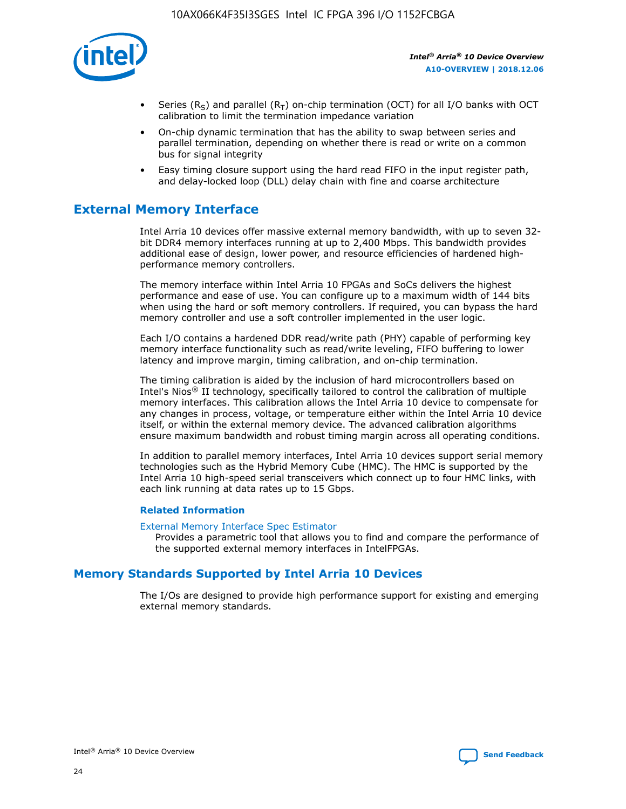

- Series (R<sub>S</sub>) and parallel (R<sub>T</sub>) on-chip termination (OCT) for all I/O banks with OCT calibration to limit the termination impedance variation
- On-chip dynamic termination that has the ability to swap between series and parallel termination, depending on whether there is read or write on a common bus for signal integrity
- Easy timing closure support using the hard read FIFO in the input register path, and delay-locked loop (DLL) delay chain with fine and coarse architecture

## **External Memory Interface**

Intel Arria 10 devices offer massive external memory bandwidth, with up to seven 32 bit DDR4 memory interfaces running at up to 2,400 Mbps. This bandwidth provides additional ease of design, lower power, and resource efficiencies of hardened highperformance memory controllers.

The memory interface within Intel Arria 10 FPGAs and SoCs delivers the highest performance and ease of use. You can configure up to a maximum width of 144 bits when using the hard or soft memory controllers. If required, you can bypass the hard memory controller and use a soft controller implemented in the user logic.

Each I/O contains a hardened DDR read/write path (PHY) capable of performing key memory interface functionality such as read/write leveling, FIFO buffering to lower latency and improve margin, timing calibration, and on-chip termination.

The timing calibration is aided by the inclusion of hard microcontrollers based on Intel's Nios® II technology, specifically tailored to control the calibration of multiple memory interfaces. This calibration allows the Intel Arria 10 device to compensate for any changes in process, voltage, or temperature either within the Intel Arria 10 device itself, or within the external memory device. The advanced calibration algorithms ensure maximum bandwidth and robust timing margin across all operating conditions.

In addition to parallel memory interfaces, Intel Arria 10 devices support serial memory technologies such as the Hybrid Memory Cube (HMC). The HMC is supported by the Intel Arria 10 high-speed serial transceivers which connect up to four HMC links, with each link running at data rates up to 15 Gbps.

### **Related Information**

#### [External Memory Interface Spec Estimator](http://www.altera.com/technology/memory/estimator/mem-emif-index.html)

Provides a parametric tool that allows you to find and compare the performance of the supported external memory interfaces in IntelFPGAs.

## **Memory Standards Supported by Intel Arria 10 Devices**

The I/Os are designed to provide high performance support for existing and emerging external memory standards.

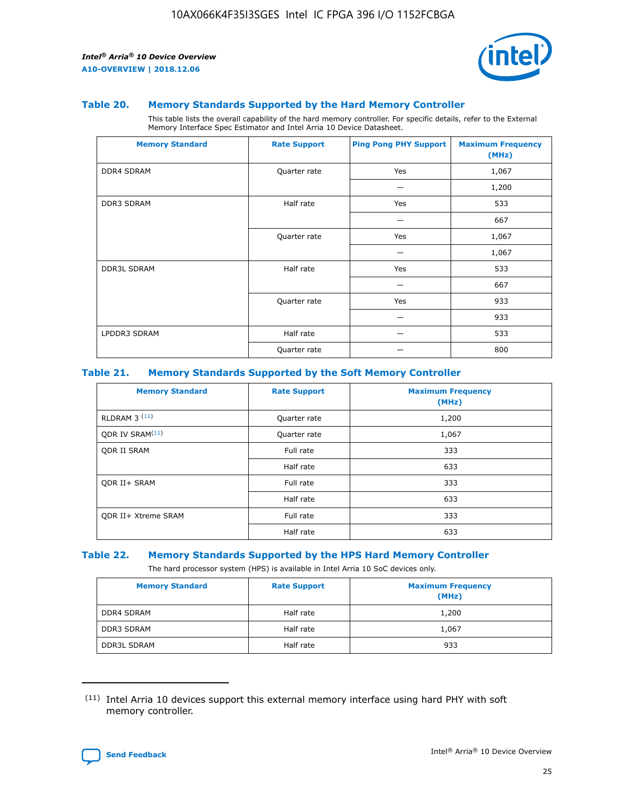

#### **Table 20. Memory Standards Supported by the Hard Memory Controller**

This table lists the overall capability of the hard memory controller. For specific details, refer to the External Memory Interface Spec Estimator and Intel Arria 10 Device Datasheet.

| <b>Memory Standard</b> | <b>Rate Support</b> | <b>Ping Pong PHY Support</b> | <b>Maximum Frequency</b><br>(MHz) |
|------------------------|---------------------|------------------------------|-----------------------------------|
| <b>DDR4 SDRAM</b>      | Quarter rate        | Yes                          | 1,067                             |
|                        |                     |                              | 1,200                             |
| DDR3 SDRAM             | Half rate           | Yes                          | 533                               |
|                        |                     |                              | 667                               |
|                        | Quarter rate        | Yes                          | 1,067                             |
|                        |                     |                              | 1,067                             |
| <b>DDR3L SDRAM</b>     | Half rate           | Yes                          | 533                               |
|                        |                     |                              | 667                               |
|                        | Quarter rate        | Yes                          | 933                               |
|                        |                     |                              | 933                               |
| LPDDR3 SDRAM           | Half rate           |                              | 533                               |
|                        | Quarter rate        |                              | 800                               |

### **Table 21. Memory Standards Supported by the Soft Memory Controller**

| <b>Memory Standard</b>      | <b>Rate Support</b> | <b>Maximum Frequency</b><br>(MHz) |
|-----------------------------|---------------------|-----------------------------------|
| <b>RLDRAM 3 (11)</b>        | Quarter rate        | 1,200                             |
| ODR IV SRAM <sup>(11)</sup> | Quarter rate        | 1,067                             |
| <b>ODR II SRAM</b>          | Full rate           | 333                               |
|                             | Half rate           | 633                               |
| <b>ODR II+ SRAM</b>         | Full rate           | 333                               |
|                             | Half rate           | 633                               |
| <b>ODR II+ Xtreme SRAM</b>  | Full rate           | 333                               |
|                             | Half rate           | 633                               |

#### **Table 22. Memory Standards Supported by the HPS Hard Memory Controller**

The hard processor system (HPS) is available in Intel Arria 10 SoC devices only.

| <b>Memory Standard</b> | <b>Rate Support</b> | <b>Maximum Frequency</b><br>(MHz) |
|------------------------|---------------------|-----------------------------------|
| <b>DDR4 SDRAM</b>      | Half rate           | 1,200                             |
| <b>DDR3 SDRAM</b>      | Half rate           | 1,067                             |
| <b>DDR3L SDRAM</b>     | Half rate           | 933                               |

<sup>(11)</sup> Intel Arria 10 devices support this external memory interface using hard PHY with soft memory controller.

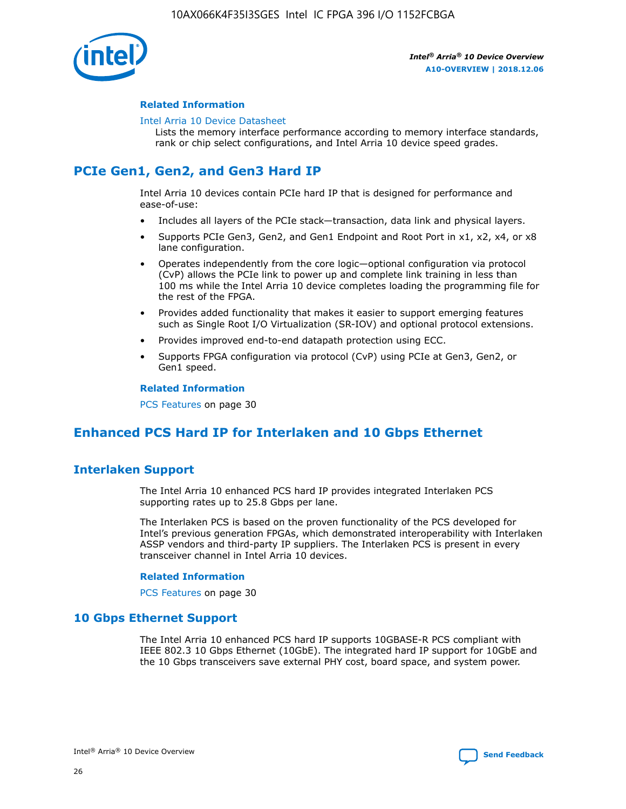

### **Related Information**

#### [Intel Arria 10 Device Datasheet](https://www.intel.com/content/www/us/en/programmable/documentation/mcn1413182292568.html#mcn1413182153340)

Lists the memory interface performance according to memory interface standards, rank or chip select configurations, and Intel Arria 10 device speed grades.

## **PCIe Gen1, Gen2, and Gen3 Hard IP**

Intel Arria 10 devices contain PCIe hard IP that is designed for performance and ease-of-use:

- Includes all layers of the PCIe stack—transaction, data link and physical layers.
- Supports PCIe Gen3, Gen2, and Gen1 Endpoint and Root Port in x1, x2, x4, or x8 lane configuration.
- Operates independently from the core logic—optional configuration via protocol (CvP) allows the PCIe link to power up and complete link training in less than 100 ms while the Intel Arria 10 device completes loading the programming file for the rest of the FPGA.
- Provides added functionality that makes it easier to support emerging features such as Single Root I/O Virtualization (SR-IOV) and optional protocol extensions.
- Provides improved end-to-end datapath protection using ECC.
- Supports FPGA configuration via protocol (CvP) using PCIe at Gen3, Gen2, or Gen1 speed.

#### **Related Information**

PCS Features on page 30

## **Enhanced PCS Hard IP for Interlaken and 10 Gbps Ethernet**

## **Interlaken Support**

The Intel Arria 10 enhanced PCS hard IP provides integrated Interlaken PCS supporting rates up to 25.8 Gbps per lane.

The Interlaken PCS is based on the proven functionality of the PCS developed for Intel's previous generation FPGAs, which demonstrated interoperability with Interlaken ASSP vendors and third-party IP suppliers. The Interlaken PCS is present in every transceiver channel in Intel Arria 10 devices.

### **Related Information**

PCS Features on page 30

## **10 Gbps Ethernet Support**

The Intel Arria 10 enhanced PCS hard IP supports 10GBASE-R PCS compliant with IEEE 802.3 10 Gbps Ethernet (10GbE). The integrated hard IP support for 10GbE and the 10 Gbps transceivers save external PHY cost, board space, and system power.

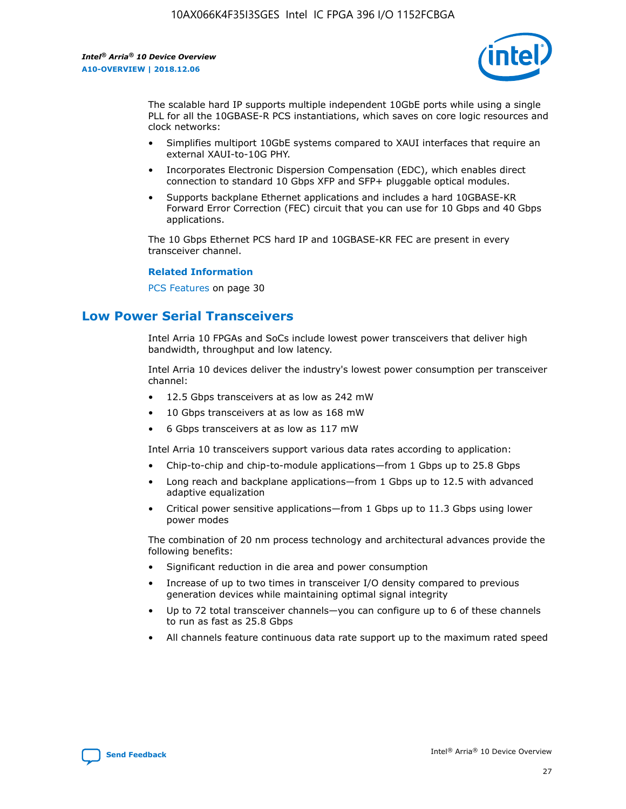

The scalable hard IP supports multiple independent 10GbE ports while using a single PLL for all the 10GBASE-R PCS instantiations, which saves on core logic resources and clock networks:

- Simplifies multiport 10GbE systems compared to XAUI interfaces that require an external XAUI-to-10G PHY.
- Incorporates Electronic Dispersion Compensation (EDC), which enables direct connection to standard 10 Gbps XFP and SFP+ pluggable optical modules.
- Supports backplane Ethernet applications and includes a hard 10GBASE-KR Forward Error Correction (FEC) circuit that you can use for 10 Gbps and 40 Gbps applications.

The 10 Gbps Ethernet PCS hard IP and 10GBASE-KR FEC are present in every transceiver channel.

#### **Related Information**

PCS Features on page 30

## **Low Power Serial Transceivers**

Intel Arria 10 FPGAs and SoCs include lowest power transceivers that deliver high bandwidth, throughput and low latency.

Intel Arria 10 devices deliver the industry's lowest power consumption per transceiver channel:

- 12.5 Gbps transceivers at as low as 242 mW
- 10 Gbps transceivers at as low as 168 mW
- 6 Gbps transceivers at as low as 117 mW

Intel Arria 10 transceivers support various data rates according to application:

- Chip-to-chip and chip-to-module applications—from 1 Gbps up to 25.8 Gbps
- Long reach and backplane applications—from 1 Gbps up to 12.5 with advanced adaptive equalization
- Critical power sensitive applications—from 1 Gbps up to 11.3 Gbps using lower power modes

The combination of 20 nm process technology and architectural advances provide the following benefits:

- Significant reduction in die area and power consumption
- Increase of up to two times in transceiver I/O density compared to previous generation devices while maintaining optimal signal integrity
- Up to 72 total transceiver channels—you can configure up to 6 of these channels to run as fast as 25.8 Gbps
- All channels feature continuous data rate support up to the maximum rated speed

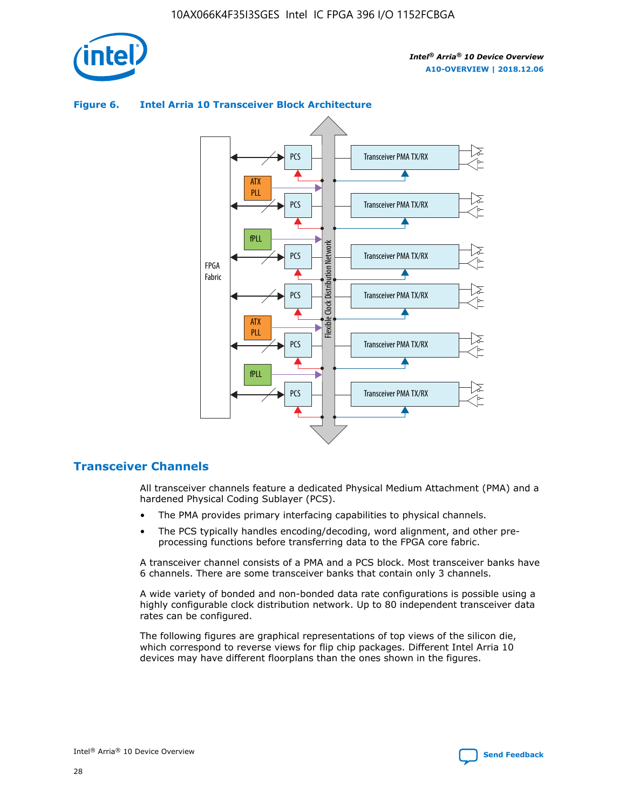

## Transceiver PMA TX/RX PCS ATX PLL Transceiver PMA TX/RX PCS fPLL Network Flexible Clock Distribution Network PCS Transceiver PMA TX/RX FPGA **Clock Distribution** Fabric PCS Transceiver PMA TX/RX ATX Flexible PLL PCS Transceiver PMA TX/RX ▲ fPLL Transceiver PMA TX/RX PCS 4

## **Figure 6. Intel Arria 10 Transceiver Block Architecture**

## **Transceiver Channels**

All transceiver channels feature a dedicated Physical Medium Attachment (PMA) and a hardened Physical Coding Sublayer (PCS).

- The PMA provides primary interfacing capabilities to physical channels.
- The PCS typically handles encoding/decoding, word alignment, and other preprocessing functions before transferring data to the FPGA core fabric.

A transceiver channel consists of a PMA and a PCS block. Most transceiver banks have 6 channels. There are some transceiver banks that contain only 3 channels.

A wide variety of bonded and non-bonded data rate configurations is possible using a highly configurable clock distribution network. Up to 80 independent transceiver data rates can be configured.

The following figures are graphical representations of top views of the silicon die, which correspond to reverse views for flip chip packages. Different Intel Arria 10 devices may have different floorplans than the ones shown in the figures.

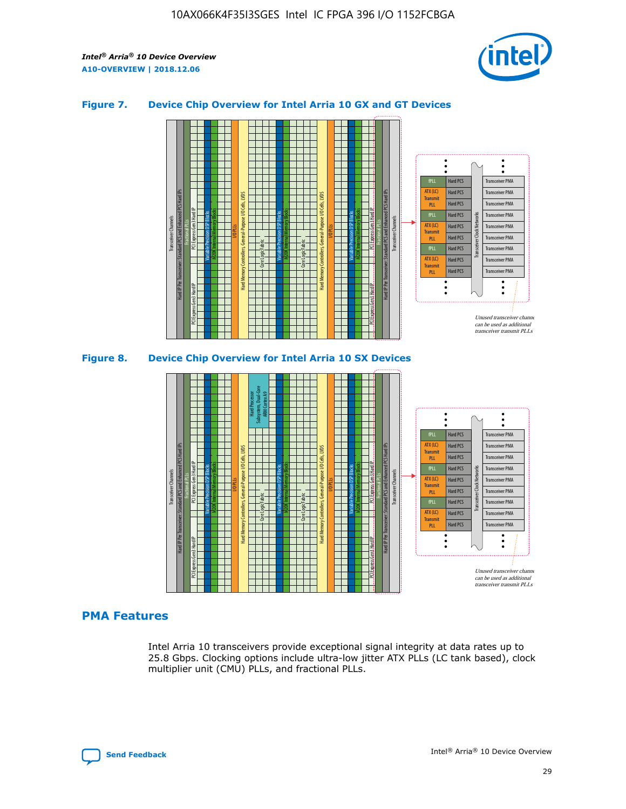

## **Figure 7. Device Chip Overview for Intel Arria 10 GX and GT Devices**





### **PMA Features**

Intel Arria 10 transceivers provide exceptional signal integrity at data rates up to 25.8 Gbps. Clocking options include ultra-low jitter ATX PLLs (LC tank based), clock multiplier unit (CMU) PLLs, and fractional PLLs.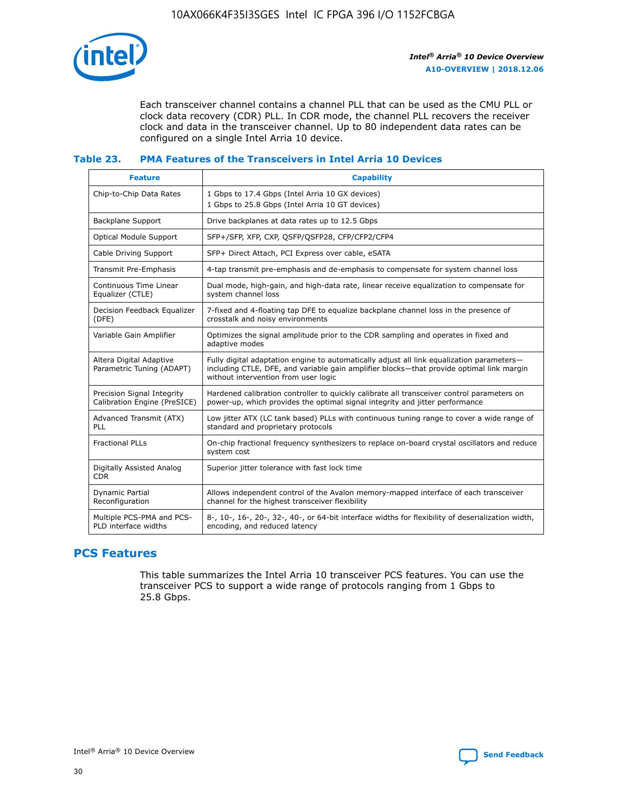

Each transceiver channel contains a channel PLL that can be used as the CMU PLL or clock data recovery (CDR) PLL. In CDR mode, the channel PLL recovers the receiver clock and data in the transceiver channel. Up to 80 independent data rates can be configured on a single Intel Arria 10 device.

## **Table 23. PMA Features of the Transceivers in Intel Arria 10 Devices**

| <b>Feature</b>                                             | <b>Capability</b>                                                                                                                                                                                                             |
|------------------------------------------------------------|-------------------------------------------------------------------------------------------------------------------------------------------------------------------------------------------------------------------------------|
| Chip-to-Chip Data Rates                                    | 1 Gbps to 17.4 Gbps (Intel Arria 10 GX devices)<br>1 Gbps to 25.8 Gbps (Intel Arria 10 GT devices)                                                                                                                            |
| Backplane Support                                          | Drive backplanes at data rates up to 12.5 Gbps                                                                                                                                                                                |
| <b>Optical Module Support</b>                              | SFP+/SFP, XFP, CXP, QSFP/QSFP28, CFP/CFP2/CFP4                                                                                                                                                                                |
| Cable Driving Support                                      | SFP+ Direct Attach, PCI Express over cable, eSATA                                                                                                                                                                             |
| Transmit Pre-Emphasis                                      | 4-tap transmit pre-emphasis and de-emphasis to compensate for system channel loss                                                                                                                                             |
| Continuous Time Linear<br>Equalizer (CTLE)                 | Dual mode, high-gain, and high-data rate, linear receive equalization to compensate for<br>system channel loss                                                                                                                |
| Decision Feedback Equalizer<br>(DFE)                       | 7-fixed and 4-floating tap DFE to equalize backplane channel loss in the presence of<br>crosstalk and noisy environments                                                                                                      |
| Variable Gain Amplifier                                    | Optimizes the signal amplitude prior to the CDR sampling and operates in fixed and<br>adaptive modes                                                                                                                          |
| Altera Digital Adaptive<br>Parametric Tuning (ADAPT)       | Fully digital adaptation engine to automatically adjust all link equalization parameters-<br>including CTLE, DFE, and variable gain amplifier blocks—that provide optimal link margin<br>without intervention from user logic |
| Precision Signal Integrity<br>Calibration Engine (PreSICE) | Hardened calibration controller to quickly calibrate all transceiver control parameters on<br>power-up, which provides the optimal signal integrity and jitter performance                                                    |
| Advanced Transmit (ATX)<br><b>PLL</b>                      | Low jitter ATX (LC tank based) PLLs with continuous tuning range to cover a wide range of<br>standard and proprietary protocols                                                                                               |
| <b>Fractional PLLs</b>                                     | On-chip fractional frequency synthesizers to replace on-board crystal oscillators and reduce<br>system cost                                                                                                                   |
| Digitally Assisted Analog<br><b>CDR</b>                    | Superior jitter tolerance with fast lock time                                                                                                                                                                                 |
| Dynamic Partial<br>Reconfiguration                         | Allows independent control of the Avalon memory-mapped interface of each transceiver<br>channel for the highest transceiver flexibility                                                                                       |
| Multiple PCS-PMA and PCS-<br>PLD interface widths          | 8-, 10-, 16-, 20-, 32-, 40-, or 64-bit interface widths for flexibility of deserialization width,<br>encoding, and reduced latency                                                                                            |

## **PCS Features**

This table summarizes the Intel Arria 10 transceiver PCS features. You can use the transceiver PCS to support a wide range of protocols ranging from 1 Gbps to 25.8 Gbps.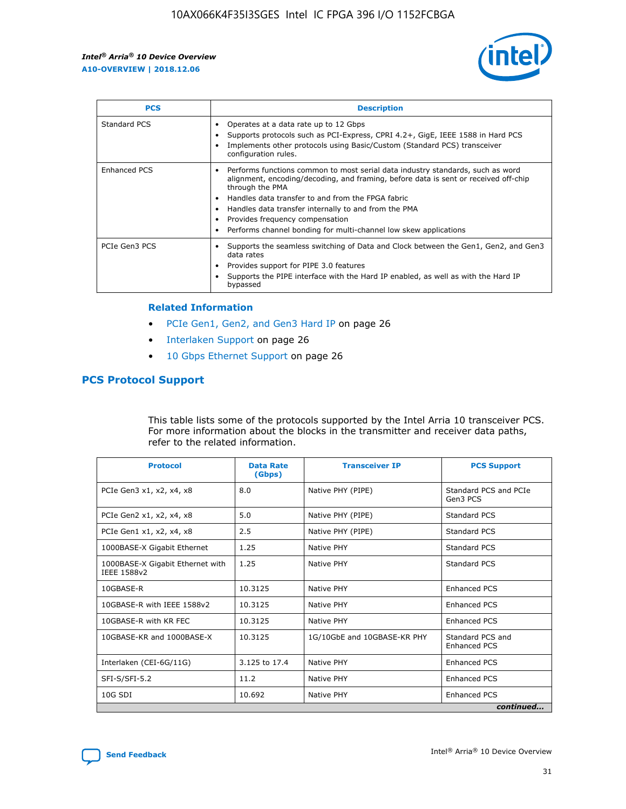

| <b>PCS</b>    | <b>Description</b>                                                                                                                                                                                                                                                                                                                                                                                             |
|---------------|----------------------------------------------------------------------------------------------------------------------------------------------------------------------------------------------------------------------------------------------------------------------------------------------------------------------------------------------------------------------------------------------------------------|
| Standard PCS  | Operates at a data rate up to 12 Gbps<br>Supports protocols such as PCI-Express, CPRI 4.2+, GigE, IEEE 1588 in Hard PCS<br>Implements other protocols using Basic/Custom (Standard PCS) transceiver<br>configuration rules.                                                                                                                                                                                    |
| Enhanced PCS  | Performs functions common to most serial data industry standards, such as word<br>alignment, encoding/decoding, and framing, before data is sent or received off-chip<br>through the PMA<br>• Handles data transfer to and from the FPGA fabric<br>Handles data transfer internally to and from the PMA<br>Provides frequency compensation<br>Performs channel bonding for multi-channel low skew applications |
| PCIe Gen3 PCS | Supports the seamless switching of Data and Clock between the Gen1, Gen2, and Gen3<br>data rates<br>Provides support for PIPE 3.0 features<br>Supports the PIPE interface with the Hard IP enabled, as well as with the Hard IP<br>bypassed                                                                                                                                                                    |

#### **Related Information**

- PCIe Gen1, Gen2, and Gen3 Hard IP on page 26
- Interlaken Support on page 26
- 10 Gbps Ethernet Support on page 26

## **PCS Protocol Support**

This table lists some of the protocols supported by the Intel Arria 10 transceiver PCS. For more information about the blocks in the transmitter and receiver data paths, refer to the related information.

| <b>Protocol</b>                                 | <b>Data Rate</b><br>(Gbps) | <b>Transceiver IP</b>       | <b>PCS Support</b>                      |
|-------------------------------------------------|----------------------------|-----------------------------|-----------------------------------------|
| PCIe Gen3 x1, x2, x4, x8                        | 8.0                        | Native PHY (PIPE)           | Standard PCS and PCIe<br>Gen3 PCS       |
| PCIe Gen2 x1, x2, x4, x8                        | 5.0                        | Native PHY (PIPE)           | <b>Standard PCS</b>                     |
| PCIe Gen1 x1, x2, x4, x8                        | 2.5                        | Native PHY (PIPE)           | Standard PCS                            |
| 1000BASE-X Gigabit Ethernet                     | 1.25                       | Native PHY                  | <b>Standard PCS</b>                     |
| 1000BASE-X Gigabit Ethernet with<br>IEEE 1588v2 | 1.25                       | Native PHY                  | Standard PCS                            |
| 10GBASE-R                                       | 10.3125                    | Native PHY                  | <b>Enhanced PCS</b>                     |
| 10GBASE-R with IEEE 1588v2                      | 10.3125                    | Native PHY                  | <b>Enhanced PCS</b>                     |
| 10GBASE-R with KR FEC                           | 10.3125                    | Native PHY                  | <b>Enhanced PCS</b>                     |
| 10GBASE-KR and 1000BASE-X                       | 10.3125                    | 1G/10GbE and 10GBASE-KR PHY | Standard PCS and<br><b>Enhanced PCS</b> |
| Interlaken (CEI-6G/11G)                         | 3.125 to 17.4              | Native PHY                  | <b>Enhanced PCS</b>                     |
| SFI-S/SFI-5.2                                   | 11.2                       | Native PHY                  | <b>Enhanced PCS</b>                     |
| $10G$ SDI                                       | 10.692                     | Native PHY                  | <b>Enhanced PCS</b>                     |
|                                                 |                            |                             | continued                               |

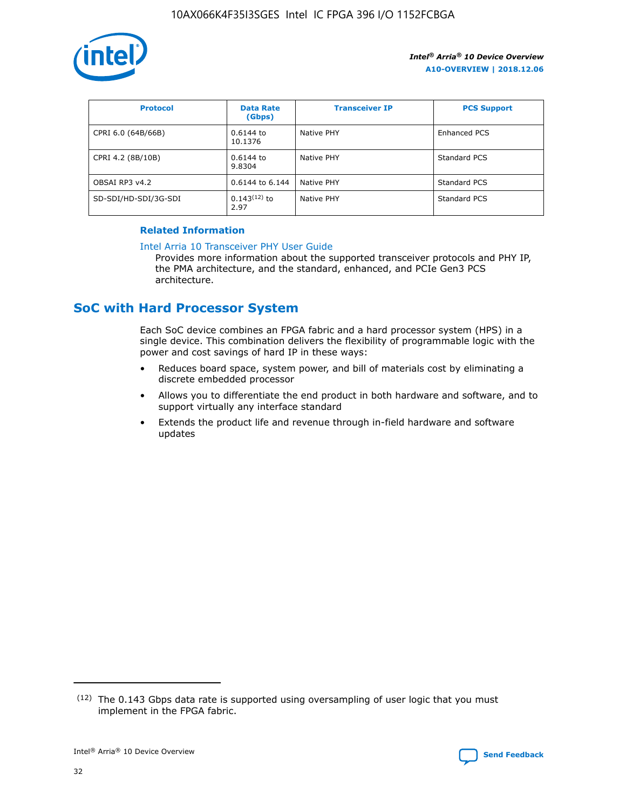

| <b>Protocol</b>      | <b>Data Rate</b><br>(Gbps) | <b>Transceiver IP</b> | <b>PCS Support</b> |
|----------------------|----------------------------|-----------------------|--------------------|
| CPRI 6.0 (64B/66B)   | 0.6144 to<br>10.1376       | Native PHY            | Enhanced PCS       |
| CPRI 4.2 (8B/10B)    | 0.6144 to<br>9.8304        | Native PHY            | Standard PCS       |
| OBSAI RP3 v4.2       | 0.6144 to 6.144            | Native PHY            | Standard PCS       |
| SD-SDI/HD-SDI/3G-SDI | $0.143(12)$ to<br>2.97     | Native PHY            | Standard PCS       |

## **Related Information**

#### [Intel Arria 10 Transceiver PHY User Guide](https://www.intel.com/content/www/us/en/programmable/documentation/nik1398707230472.html#nik1398707091164)

Provides more information about the supported transceiver protocols and PHY IP, the PMA architecture, and the standard, enhanced, and PCIe Gen3 PCS architecture.

## **SoC with Hard Processor System**

Each SoC device combines an FPGA fabric and a hard processor system (HPS) in a single device. This combination delivers the flexibility of programmable logic with the power and cost savings of hard IP in these ways:

- Reduces board space, system power, and bill of materials cost by eliminating a discrete embedded processor
- Allows you to differentiate the end product in both hardware and software, and to support virtually any interface standard
- Extends the product life and revenue through in-field hardware and software updates

 $(12)$  The 0.143 Gbps data rate is supported using oversampling of user logic that you must implement in the FPGA fabric.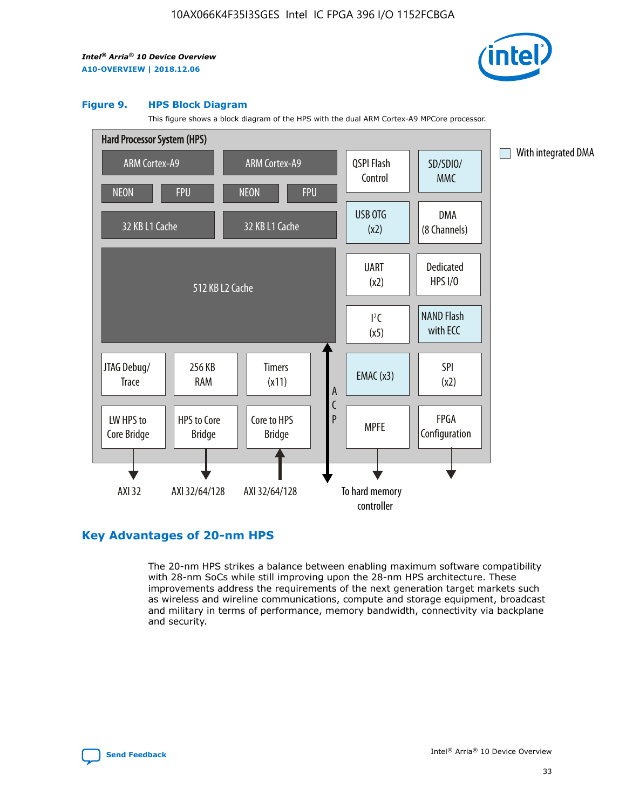

#### **Figure 9. HPS Block Diagram**

This figure shows a block diagram of the HPS with the dual ARM Cortex-A9 MPCore processor.



## **Key Advantages of 20-nm HPS**

The 20-nm HPS strikes a balance between enabling maximum software compatibility with 28-nm SoCs while still improving upon the 28-nm HPS architecture. These improvements address the requirements of the next generation target markets such as wireless and wireline communications, compute and storage equipment, broadcast and military in terms of performance, memory bandwidth, connectivity via backplane and security.

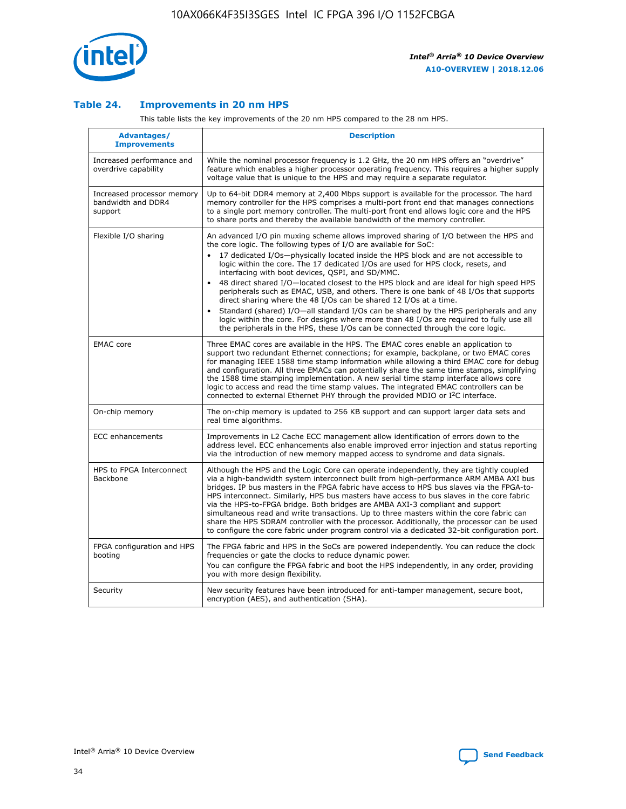

## **Table 24. Improvements in 20 nm HPS**

This table lists the key improvements of the 20 nm HPS compared to the 28 nm HPS.

| Advantages/<br><b>Improvements</b>                          | <b>Description</b>                                                                                                                                                                                                                                                                                                                                                                                                                                                                                                                                                                                                                                                                                                                                     |
|-------------------------------------------------------------|--------------------------------------------------------------------------------------------------------------------------------------------------------------------------------------------------------------------------------------------------------------------------------------------------------------------------------------------------------------------------------------------------------------------------------------------------------------------------------------------------------------------------------------------------------------------------------------------------------------------------------------------------------------------------------------------------------------------------------------------------------|
| Increased performance and<br>overdrive capability           | While the nominal processor frequency is 1.2 GHz, the 20 nm HPS offers an "overdrive"<br>feature which enables a higher processor operating frequency. This requires a higher supply<br>voltage value that is unique to the HPS and may require a separate regulator.                                                                                                                                                                                                                                                                                                                                                                                                                                                                                  |
| Increased processor memory<br>bandwidth and DDR4<br>support | Up to 64-bit DDR4 memory at 2,400 Mbps support is available for the processor. The hard<br>memory controller for the HPS comprises a multi-port front end that manages connections<br>to a single port memory controller. The multi-port front end allows logic core and the HPS<br>to share ports and thereby the available bandwidth of the memory controller.                                                                                                                                                                                                                                                                                                                                                                                       |
| Flexible I/O sharing                                        | An advanced I/O pin muxing scheme allows improved sharing of I/O between the HPS and<br>the core logic. The following types of I/O are available for SoC:<br>17 dedicated I/Os-physically located inside the HPS block and are not accessible to<br>logic within the core. The 17 dedicated I/Os are used for HPS clock, resets, and<br>interfacing with boot devices, QSPI, and SD/MMC.<br>48 direct shared I/O-located closest to the HPS block and are ideal for high speed HPS<br>$\bullet$<br>peripherals such as EMAC, USB, and others. There is one bank of 48 I/Os that supports<br>direct sharing where the 48 I/Os can be shared 12 I/Os at a time.                                                                                          |
|                                                             | Standard (shared) I/O-all standard I/Os can be shared by the HPS peripherals and any<br>logic within the core. For designs where more than 48 I/Os are required to fully use all<br>the peripherals in the HPS, these I/Os can be connected through the core logic.                                                                                                                                                                                                                                                                                                                                                                                                                                                                                    |
| <b>EMAC</b> core                                            | Three EMAC cores are available in the HPS. The EMAC cores enable an application to<br>support two redundant Ethernet connections; for example, backplane, or two EMAC cores<br>for managing IEEE 1588 time stamp information while allowing a third EMAC core for debug<br>and configuration. All three EMACs can potentially share the same time stamps, simplifying<br>the 1588 time stamping implementation. A new serial time stamp interface allows core<br>logic to access and read the time stamp values. The integrated EMAC controllers can be<br>connected to external Ethernet PHY through the provided MDIO or I <sup>2</sup> C interface.                                                                                                 |
| On-chip memory                                              | The on-chip memory is updated to 256 KB support and can support larger data sets and<br>real time algorithms.                                                                                                                                                                                                                                                                                                                                                                                                                                                                                                                                                                                                                                          |
| <b>ECC</b> enhancements                                     | Improvements in L2 Cache ECC management allow identification of errors down to the<br>address level. ECC enhancements also enable improved error injection and status reporting<br>via the introduction of new memory mapped access to syndrome and data signals.                                                                                                                                                                                                                                                                                                                                                                                                                                                                                      |
| HPS to FPGA Interconnect<br>Backbone                        | Although the HPS and the Logic Core can operate independently, they are tightly coupled<br>via a high-bandwidth system interconnect built from high-performance ARM AMBA AXI bus<br>bridges. IP bus masters in the FPGA fabric have access to HPS bus slaves via the FPGA-to-<br>HPS interconnect. Similarly, HPS bus masters have access to bus slaves in the core fabric<br>via the HPS-to-FPGA bridge. Both bridges are AMBA AXI-3 compliant and support<br>simultaneous read and write transactions. Up to three masters within the core fabric can<br>share the HPS SDRAM controller with the processor. Additionally, the processor can be used<br>to configure the core fabric under program control via a dedicated 32-bit configuration port. |
| FPGA configuration and HPS<br>booting                       | The FPGA fabric and HPS in the SoCs are powered independently. You can reduce the clock<br>frequencies or gate the clocks to reduce dynamic power.<br>You can configure the FPGA fabric and boot the HPS independently, in any order, providing<br>you with more design flexibility.                                                                                                                                                                                                                                                                                                                                                                                                                                                                   |
| Security                                                    | New security features have been introduced for anti-tamper management, secure boot,<br>encryption (AES), and authentication (SHA).                                                                                                                                                                                                                                                                                                                                                                                                                                                                                                                                                                                                                     |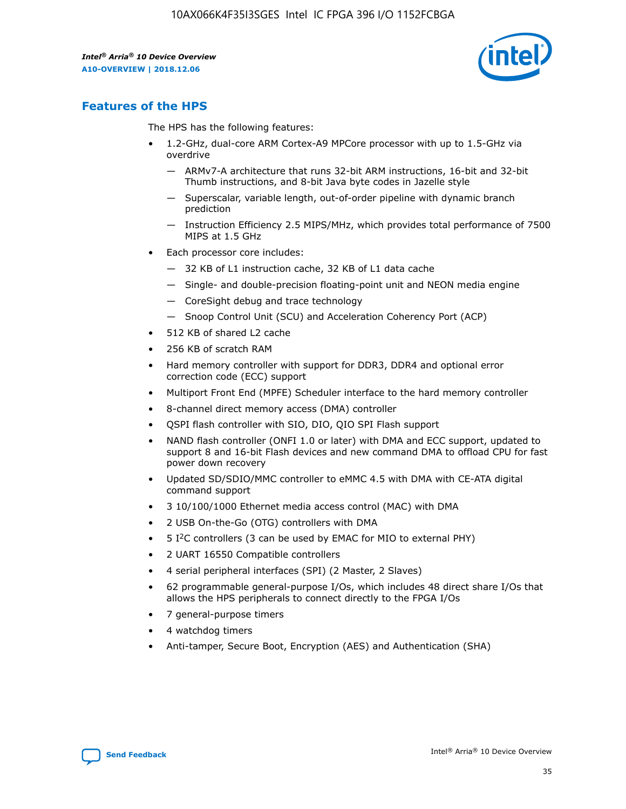

## **Features of the HPS**

The HPS has the following features:

- 1.2-GHz, dual-core ARM Cortex-A9 MPCore processor with up to 1.5-GHz via overdrive
	- ARMv7-A architecture that runs 32-bit ARM instructions, 16-bit and 32-bit Thumb instructions, and 8-bit Java byte codes in Jazelle style
	- Superscalar, variable length, out-of-order pipeline with dynamic branch prediction
	- Instruction Efficiency 2.5 MIPS/MHz, which provides total performance of 7500 MIPS at 1.5 GHz
- Each processor core includes:
	- 32 KB of L1 instruction cache, 32 KB of L1 data cache
	- Single- and double-precision floating-point unit and NEON media engine
	- CoreSight debug and trace technology
	- Snoop Control Unit (SCU) and Acceleration Coherency Port (ACP)
- 512 KB of shared L2 cache
- 256 KB of scratch RAM
- Hard memory controller with support for DDR3, DDR4 and optional error correction code (ECC) support
- Multiport Front End (MPFE) Scheduler interface to the hard memory controller
- 8-channel direct memory access (DMA) controller
- QSPI flash controller with SIO, DIO, QIO SPI Flash support
- NAND flash controller (ONFI 1.0 or later) with DMA and ECC support, updated to support 8 and 16-bit Flash devices and new command DMA to offload CPU for fast power down recovery
- Updated SD/SDIO/MMC controller to eMMC 4.5 with DMA with CE-ATA digital command support
- 3 10/100/1000 Ethernet media access control (MAC) with DMA
- 2 USB On-the-Go (OTG) controllers with DMA
- $\bullet$  5 I<sup>2</sup>C controllers (3 can be used by EMAC for MIO to external PHY)
- 2 UART 16550 Compatible controllers
- 4 serial peripheral interfaces (SPI) (2 Master, 2 Slaves)
- 62 programmable general-purpose I/Os, which includes 48 direct share I/Os that allows the HPS peripherals to connect directly to the FPGA I/Os
- 7 general-purpose timers
- 4 watchdog timers
- Anti-tamper, Secure Boot, Encryption (AES) and Authentication (SHA)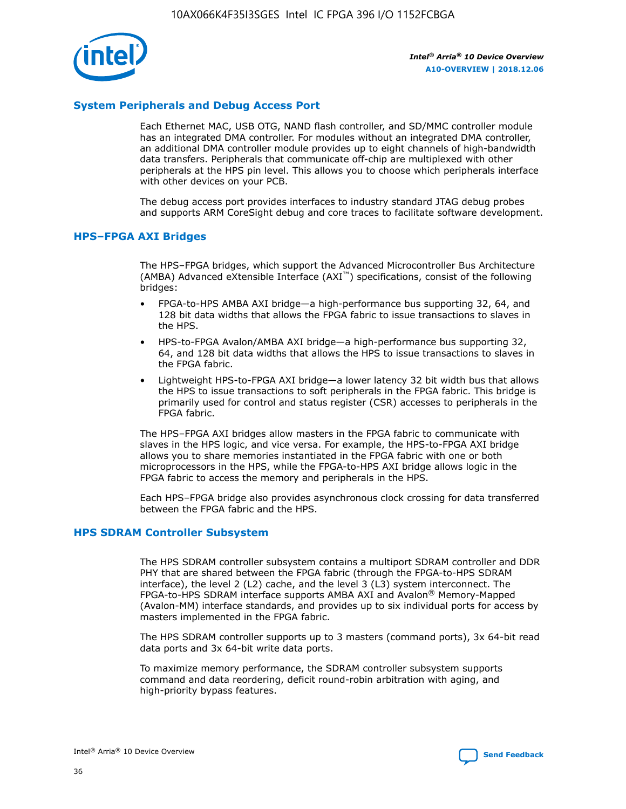

## **System Peripherals and Debug Access Port**

Each Ethernet MAC, USB OTG, NAND flash controller, and SD/MMC controller module has an integrated DMA controller. For modules without an integrated DMA controller, an additional DMA controller module provides up to eight channels of high-bandwidth data transfers. Peripherals that communicate off-chip are multiplexed with other peripherals at the HPS pin level. This allows you to choose which peripherals interface with other devices on your PCB.

The debug access port provides interfaces to industry standard JTAG debug probes and supports ARM CoreSight debug and core traces to facilitate software development.

## **HPS–FPGA AXI Bridges**

The HPS–FPGA bridges, which support the Advanced Microcontroller Bus Architecture (AMBA) Advanced eXtensible Interface (AXI™) specifications, consist of the following bridges:

- FPGA-to-HPS AMBA AXI bridge—a high-performance bus supporting 32, 64, and 128 bit data widths that allows the FPGA fabric to issue transactions to slaves in the HPS.
- HPS-to-FPGA Avalon/AMBA AXI bridge—a high-performance bus supporting 32, 64, and 128 bit data widths that allows the HPS to issue transactions to slaves in the FPGA fabric.
- Lightweight HPS-to-FPGA AXI bridge—a lower latency 32 bit width bus that allows the HPS to issue transactions to soft peripherals in the FPGA fabric. This bridge is primarily used for control and status register (CSR) accesses to peripherals in the FPGA fabric.

The HPS–FPGA AXI bridges allow masters in the FPGA fabric to communicate with slaves in the HPS logic, and vice versa. For example, the HPS-to-FPGA AXI bridge allows you to share memories instantiated in the FPGA fabric with one or both microprocessors in the HPS, while the FPGA-to-HPS AXI bridge allows logic in the FPGA fabric to access the memory and peripherals in the HPS.

Each HPS–FPGA bridge also provides asynchronous clock crossing for data transferred between the FPGA fabric and the HPS.

### **HPS SDRAM Controller Subsystem**

The HPS SDRAM controller subsystem contains a multiport SDRAM controller and DDR PHY that are shared between the FPGA fabric (through the FPGA-to-HPS SDRAM interface), the level 2 (L2) cache, and the level 3 (L3) system interconnect. The FPGA-to-HPS SDRAM interface supports AMBA AXI and Avalon® Memory-Mapped (Avalon-MM) interface standards, and provides up to six individual ports for access by masters implemented in the FPGA fabric.

The HPS SDRAM controller supports up to 3 masters (command ports), 3x 64-bit read data ports and 3x 64-bit write data ports.

To maximize memory performance, the SDRAM controller subsystem supports command and data reordering, deficit round-robin arbitration with aging, and high-priority bypass features.

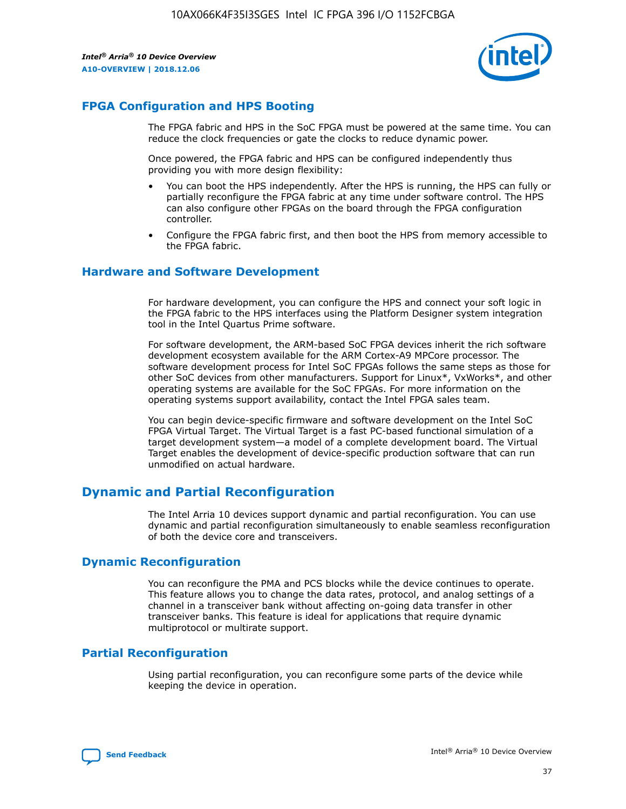

## **FPGA Configuration and HPS Booting**

The FPGA fabric and HPS in the SoC FPGA must be powered at the same time. You can reduce the clock frequencies or gate the clocks to reduce dynamic power.

Once powered, the FPGA fabric and HPS can be configured independently thus providing you with more design flexibility:

- You can boot the HPS independently. After the HPS is running, the HPS can fully or partially reconfigure the FPGA fabric at any time under software control. The HPS can also configure other FPGAs on the board through the FPGA configuration controller.
- Configure the FPGA fabric first, and then boot the HPS from memory accessible to the FPGA fabric.

## **Hardware and Software Development**

For hardware development, you can configure the HPS and connect your soft logic in the FPGA fabric to the HPS interfaces using the Platform Designer system integration tool in the Intel Quartus Prime software.

For software development, the ARM-based SoC FPGA devices inherit the rich software development ecosystem available for the ARM Cortex-A9 MPCore processor. The software development process for Intel SoC FPGAs follows the same steps as those for other SoC devices from other manufacturers. Support for Linux\*, VxWorks\*, and other operating systems are available for the SoC FPGAs. For more information on the operating systems support availability, contact the Intel FPGA sales team.

You can begin device-specific firmware and software development on the Intel SoC FPGA Virtual Target. The Virtual Target is a fast PC-based functional simulation of a target development system—a model of a complete development board. The Virtual Target enables the development of device-specific production software that can run unmodified on actual hardware.

## **Dynamic and Partial Reconfiguration**

The Intel Arria 10 devices support dynamic and partial reconfiguration. You can use dynamic and partial reconfiguration simultaneously to enable seamless reconfiguration of both the device core and transceivers.

## **Dynamic Reconfiguration**

You can reconfigure the PMA and PCS blocks while the device continues to operate. This feature allows you to change the data rates, protocol, and analog settings of a channel in a transceiver bank without affecting on-going data transfer in other transceiver banks. This feature is ideal for applications that require dynamic multiprotocol or multirate support.

## **Partial Reconfiguration**

Using partial reconfiguration, you can reconfigure some parts of the device while keeping the device in operation.

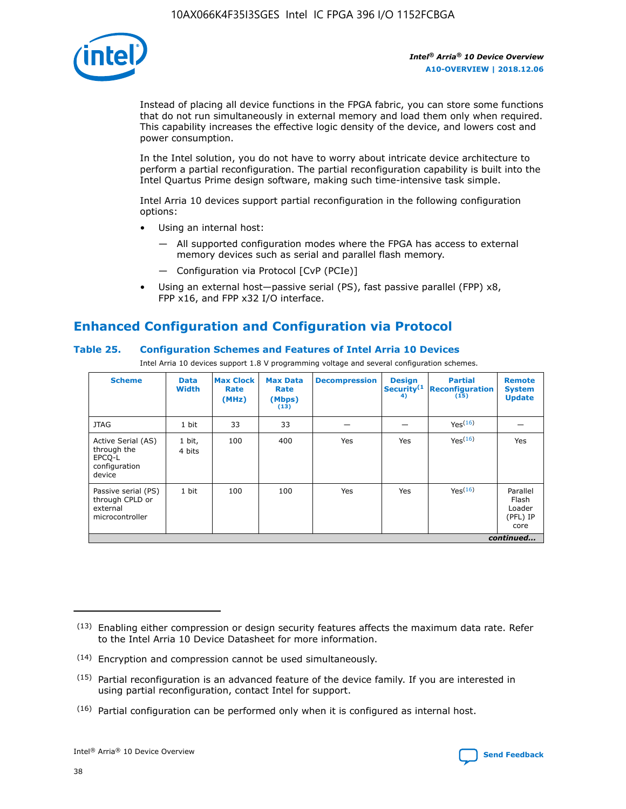

Instead of placing all device functions in the FPGA fabric, you can store some functions that do not run simultaneously in external memory and load them only when required. This capability increases the effective logic density of the device, and lowers cost and power consumption.

In the Intel solution, you do not have to worry about intricate device architecture to perform a partial reconfiguration. The partial reconfiguration capability is built into the Intel Quartus Prime design software, making such time-intensive task simple.

Intel Arria 10 devices support partial reconfiguration in the following configuration options:

- Using an internal host:
	- All supported configuration modes where the FPGA has access to external memory devices such as serial and parallel flash memory.
	- Configuration via Protocol [CvP (PCIe)]
- Using an external host—passive serial (PS), fast passive parallel (FPP) x8, FPP x16, and FPP x32 I/O interface.

# **Enhanced Configuration and Configuration via Protocol**

## **Table 25. Configuration Schemes and Features of Intel Arria 10 Devices**

Intel Arria 10 devices support 1.8 V programming voltage and several configuration schemes.

| <b>Scheme</b>                                                          | <b>Data</b><br><b>Width</b> | <b>Max Clock</b><br>Rate<br>(MHz) | <b>Max Data</b><br>Rate<br>(Mbps)<br>(13) | <b>Decompression</b> | <b>Design</b><br>Security <sup>(1</sup><br>4) | <b>Partial</b><br><b>Reconfiguration</b><br>(15) | <b>Remote</b><br><b>System</b><br><b>Update</b> |
|------------------------------------------------------------------------|-----------------------------|-----------------------------------|-------------------------------------------|----------------------|-----------------------------------------------|--------------------------------------------------|-------------------------------------------------|
| <b>JTAG</b>                                                            | 1 bit                       | 33                                | 33                                        |                      |                                               | Yes(16)                                          |                                                 |
| Active Serial (AS)<br>through the<br>EPCO-L<br>configuration<br>device | 1 bit,<br>4 bits            | 100                               | 400                                       | Yes                  | Yes                                           | $Y_{PS}(16)$                                     | Yes                                             |
| Passive serial (PS)<br>through CPLD or<br>external<br>microcontroller  | 1 bit                       | 100                               | 100                                       | Yes                  | Yes                                           | Yes(16)                                          | Parallel<br>Flash<br>Loader<br>(PFL) IP<br>core |
|                                                                        |                             |                                   |                                           |                      |                                               |                                                  | continued                                       |

<sup>(13)</sup> Enabling either compression or design security features affects the maximum data rate. Refer to the Intel Arria 10 Device Datasheet for more information.

<sup>(14)</sup> Encryption and compression cannot be used simultaneously.

 $(15)$  Partial reconfiguration is an advanced feature of the device family. If you are interested in using partial reconfiguration, contact Intel for support.

 $(16)$  Partial configuration can be performed only when it is configured as internal host.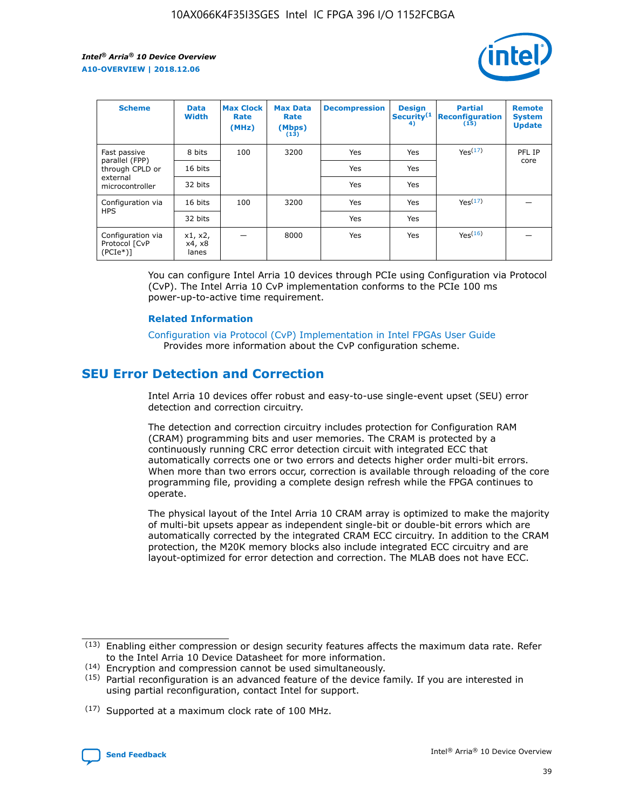

| <b>Scheme</b>                                    | <b>Data</b><br><b>Width</b> | <b>Max Clock</b><br>Rate<br>(MHz) | <b>Max Data</b><br>Rate<br>(Mbps)<br>(13) | <b>Decompression</b> | <b>Design</b><br>Security <sup>(1</sup><br>4) | <b>Partial</b><br><b>Reconfiguration</b><br>(15) | <b>Remote</b><br><b>System</b><br><b>Update</b> |
|--------------------------------------------------|-----------------------------|-----------------------------------|-------------------------------------------|----------------------|-----------------------------------------------|--------------------------------------------------|-------------------------------------------------|
| Fast passive                                     | 8 bits                      | 100                               | 3200                                      | Yes                  | Yes                                           | Yes(17)                                          | PFL IP                                          |
| parallel (FPP)<br>through CPLD or                | 16 bits                     |                                   |                                           | Yes                  | Yes                                           |                                                  | core                                            |
| external<br>microcontroller                      | 32 bits                     |                                   |                                           | Yes                  | Yes                                           |                                                  |                                                 |
| Configuration via                                | 16 bits                     | 100                               | 3200                                      | Yes                  | Yes                                           | Yes <sup>(17)</sup>                              |                                                 |
| <b>HPS</b>                                       | 32 bits                     |                                   |                                           | Yes                  | Yes                                           |                                                  |                                                 |
| Configuration via<br>Protocol [CvP<br>$(PCIe^*)$ | x1, x2,<br>x4, x8<br>lanes  |                                   | 8000                                      | Yes                  | Yes                                           | Yes(16)                                          |                                                 |

You can configure Intel Arria 10 devices through PCIe using Configuration via Protocol (CvP). The Intel Arria 10 CvP implementation conforms to the PCIe 100 ms power-up-to-active time requirement.

### **Related Information**

[Configuration via Protocol \(CvP\) Implementation in Intel FPGAs User Guide](https://www.intel.com/content/www/us/en/programmable/documentation/dsu1441819344145.html#dsu1442269728522) Provides more information about the CvP configuration scheme.

## **SEU Error Detection and Correction**

Intel Arria 10 devices offer robust and easy-to-use single-event upset (SEU) error detection and correction circuitry.

The detection and correction circuitry includes protection for Configuration RAM (CRAM) programming bits and user memories. The CRAM is protected by a continuously running CRC error detection circuit with integrated ECC that automatically corrects one or two errors and detects higher order multi-bit errors. When more than two errors occur, correction is available through reloading of the core programming file, providing a complete design refresh while the FPGA continues to operate.

The physical layout of the Intel Arria 10 CRAM array is optimized to make the majority of multi-bit upsets appear as independent single-bit or double-bit errors which are automatically corrected by the integrated CRAM ECC circuitry. In addition to the CRAM protection, the M20K memory blocks also include integrated ECC circuitry and are layout-optimized for error detection and correction. The MLAB does not have ECC.

(14) Encryption and compression cannot be used simultaneously.

<sup>(17)</sup> Supported at a maximum clock rate of 100 MHz.



 $(13)$  Enabling either compression or design security features affects the maximum data rate. Refer to the Intel Arria 10 Device Datasheet for more information.

 $(15)$  Partial reconfiguration is an advanced feature of the device family. If you are interested in using partial reconfiguration, contact Intel for support.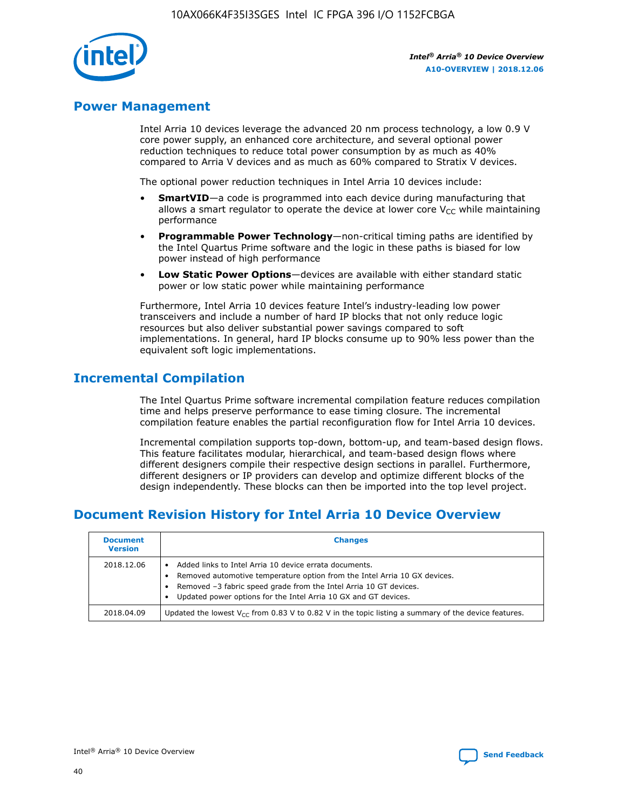

## **Power Management**

Intel Arria 10 devices leverage the advanced 20 nm process technology, a low 0.9 V core power supply, an enhanced core architecture, and several optional power reduction techniques to reduce total power consumption by as much as 40% compared to Arria V devices and as much as 60% compared to Stratix V devices.

The optional power reduction techniques in Intel Arria 10 devices include:

- **SmartVID**—a code is programmed into each device during manufacturing that allows a smart regulator to operate the device at lower core  $V_{CC}$  while maintaining performance
- **Programmable Power Technology**—non-critical timing paths are identified by the Intel Quartus Prime software and the logic in these paths is biased for low power instead of high performance
- **Low Static Power Options**—devices are available with either standard static power or low static power while maintaining performance

Furthermore, Intel Arria 10 devices feature Intel's industry-leading low power transceivers and include a number of hard IP blocks that not only reduce logic resources but also deliver substantial power savings compared to soft implementations. In general, hard IP blocks consume up to 90% less power than the equivalent soft logic implementations.

## **Incremental Compilation**

The Intel Quartus Prime software incremental compilation feature reduces compilation time and helps preserve performance to ease timing closure. The incremental compilation feature enables the partial reconfiguration flow for Intel Arria 10 devices.

Incremental compilation supports top-down, bottom-up, and team-based design flows. This feature facilitates modular, hierarchical, and team-based design flows where different designers compile their respective design sections in parallel. Furthermore, different designers or IP providers can develop and optimize different blocks of the design independently. These blocks can then be imported into the top level project.

## **Document Revision History for Intel Arria 10 Device Overview**

| <b>Document</b><br><b>Version</b> | <b>Changes</b>                                                                                                                                                                                                                                                              |
|-----------------------------------|-----------------------------------------------------------------------------------------------------------------------------------------------------------------------------------------------------------------------------------------------------------------------------|
| 2018.12.06                        | Added links to Intel Arria 10 device errata documents.<br>Removed automotive temperature option from the Intel Arria 10 GX devices.<br>Removed -3 fabric speed grade from the Intel Arria 10 GT devices.<br>Updated power options for the Intel Arria 10 GX and GT devices. |
| 2018.04.09                        | Updated the lowest $V_{CC}$ from 0.83 V to 0.82 V in the topic listing a summary of the device features.                                                                                                                                                                    |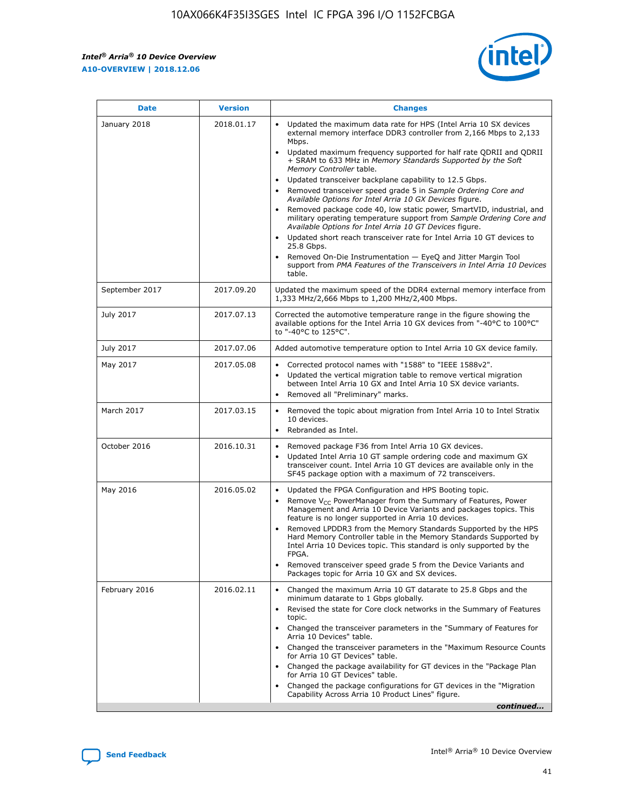

| <b>Date</b>    | <b>Version</b> | <b>Changes</b>                                                                                                                                                                                                                                                                                                                                                                                                                                                                                                                                                                                                                                                                                                                                                                                                                                                                                                                                               |
|----------------|----------------|--------------------------------------------------------------------------------------------------------------------------------------------------------------------------------------------------------------------------------------------------------------------------------------------------------------------------------------------------------------------------------------------------------------------------------------------------------------------------------------------------------------------------------------------------------------------------------------------------------------------------------------------------------------------------------------------------------------------------------------------------------------------------------------------------------------------------------------------------------------------------------------------------------------------------------------------------------------|
| January 2018   | 2018.01.17     | Updated the maximum data rate for HPS (Intel Arria 10 SX devices<br>external memory interface DDR3 controller from 2,166 Mbps to 2,133<br>Mbps.<br>Updated maximum frequency supported for half rate QDRII and QDRII<br>+ SRAM to 633 MHz in Memory Standards Supported by the Soft<br>Memory Controller table.<br>Updated transceiver backplane capability to 12.5 Gbps.<br>Removed transceiver speed grade 5 in Sample Ordering Core and<br>Available Options for Intel Arria 10 GX Devices figure.<br>Removed package code 40, low static power, SmartVID, industrial, and<br>military operating temperature support from Sample Ordering Core and<br>Available Options for Intel Arria 10 GT Devices figure.<br>Updated short reach transceiver rate for Intel Arria 10 GT devices to<br>25.8 Gbps.<br>Removed On-Die Instrumentation - EyeQ and Jitter Margin Tool<br>support from PMA Features of the Transceivers in Intel Arria 10 Devices<br>table. |
| September 2017 | 2017.09.20     | Updated the maximum speed of the DDR4 external memory interface from<br>1,333 MHz/2,666 Mbps to 1,200 MHz/2,400 Mbps.                                                                                                                                                                                                                                                                                                                                                                                                                                                                                                                                                                                                                                                                                                                                                                                                                                        |
| July 2017      | 2017.07.13     | Corrected the automotive temperature range in the figure showing the<br>available options for the Intel Arria 10 GX devices from "-40°C to 100°C"<br>to "-40°C to 125°C".                                                                                                                                                                                                                                                                                                                                                                                                                                                                                                                                                                                                                                                                                                                                                                                    |
| July 2017      | 2017.07.06     | Added automotive temperature option to Intel Arria 10 GX device family.                                                                                                                                                                                                                                                                                                                                                                                                                                                                                                                                                                                                                                                                                                                                                                                                                                                                                      |
| May 2017       | 2017.05.08     | Corrected protocol names with "1588" to "IEEE 1588v2".<br>Updated the vertical migration table to remove vertical migration<br>$\bullet$<br>between Intel Arria 10 GX and Intel Arria 10 SX device variants.<br>Removed all "Preliminary" marks.                                                                                                                                                                                                                                                                                                                                                                                                                                                                                                                                                                                                                                                                                                             |
| March 2017     | 2017.03.15     | Removed the topic about migration from Intel Arria 10 to Intel Stratix<br>10 devices.<br>Rebranded as Intel.<br>$\bullet$                                                                                                                                                                                                                                                                                                                                                                                                                                                                                                                                                                                                                                                                                                                                                                                                                                    |
| October 2016   | 2016.10.31     | Removed package F36 from Intel Arria 10 GX devices.<br>Updated Intel Arria 10 GT sample ordering code and maximum GX<br>$\bullet$<br>transceiver count. Intel Arria 10 GT devices are available only in the<br>SF45 package option with a maximum of 72 transceivers.                                                                                                                                                                                                                                                                                                                                                                                                                                                                                                                                                                                                                                                                                        |
| May 2016       | 2016.05.02     | Updated the FPGA Configuration and HPS Booting topic.<br>$\bullet$<br>Remove V <sub>CC</sub> PowerManager from the Summary of Features, Power<br>Management and Arria 10 Device Variants and packages topics. This<br>feature is no longer supported in Arria 10 devices.<br>Removed LPDDR3 from the Memory Standards Supported by the HPS<br>Hard Memory Controller table in the Memory Standards Supported by<br>Intel Arria 10 Devices topic. This standard is only supported by the<br>FPGA.<br>Removed transceiver speed grade 5 from the Device Variants and<br>Packages topic for Arria 10 GX and SX devices.                                                                                                                                                                                                                                                                                                                                         |
| February 2016  | 2016.02.11     | Changed the maximum Arria 10 GT datarate to 25.8 Gbps and the<br>minimum datarate to 1 Gbps globally.<br>Revised the state for Core clock networks in the Summary of Features<br>topic.<br>Changed the transceiver parameters in the "Summary of Features for<br>Arria 10 Devices" table.<br>Changed the transceiver parameters in the "Maximum Resource Counts"<br>for Arria 10 GT Devices" table.<br>Changed the package availability for GT devices in the "Package Plan<br>for Arria 10 GT Devices" table.<br>Changed the package configurations for GT devices in the "Migration"<br>Capability Across Arria 10 Product Lines" figure.<br>continued                                                                                                                                                                                                                                                                                                     |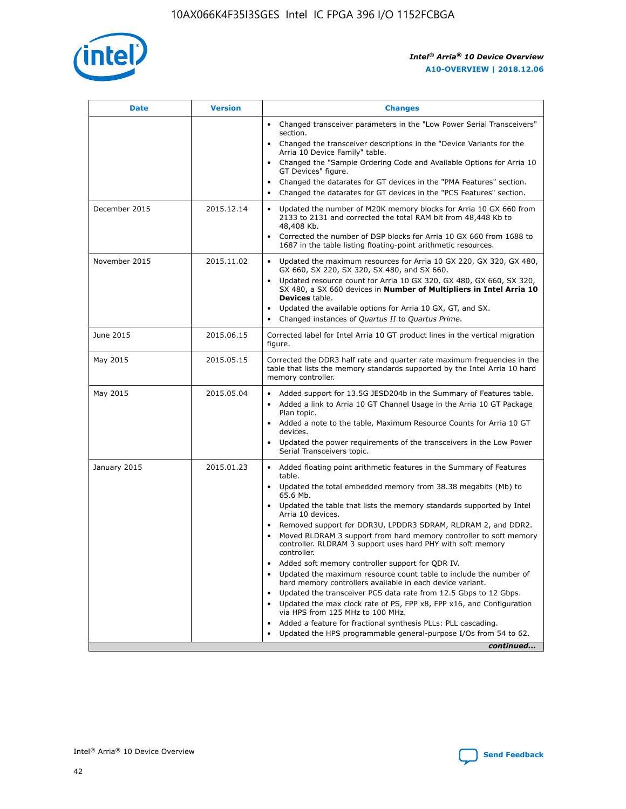

| <b>Date</b>   | <b>Version</b> | <b>Changes</b>                                                                                                                                                                   |
|---------------|----------------|----------------------------------------------------------------------------------------------------------------------------------------------------------------------------------|
|               |                | • Changed transceiver parameters in the "Low Power Serial Transceivers"<br>section.                                                                                              |
|               |                | Changed the transceiver descriptions in the "Device Variants for the<br>Arria 10 Device Family" table.                                                                           |
|               |                | Changed the "Sample Ordering Code and Available Options for Arria 10<br>GT Devices" figure.                                                                                      |
|               |                | Changed the datarates for GT devices in the "PMA Features" section.<br>$\bullet$<br>Changed the datarates for GT devices in the "PCS Features" section.                          |
|               |                |                                                                                                                                                                                  |
| December 2015 | 2015.12.14     | Updated the number of M20K memory blocks for Arria 10 GX 660 from<br>2133 to 2131 and corrected the total RAM bit from 48,448 Kb to<br>48,408 Kb.                                |
|               |                | Corrected the number of DSP blocks for Arria 10 GX 660 from 1688 to<br>$\bullet$<br>1687 in the table listing floating-point arithmetic resources.                               |
| November 2015 | 2015.11.02     | Updated the maximum resources for Arria 10 GX 220, GX 320, GX 480,<br>$\bullet$<br>GX 660, SX 220, SX 320, SX 480, and SX 660.                                                   |
|               |                | Updated resource count for Arria 10 GX 320, GX 480, GX 660, SX 320,<br>$\bullet$<br>SX 480, a SX 660 devices in Number of Multipliers in Intel Arria 10<br><b>Devices table.</b> |
|               |                | Updated the available options for Arria 10 GX, GT, and SX.                                                                                                                       |
|               |                | Changed instances of Quartus II to Quartus Prime.<br>$\bullet$                                                                                                                   |
| June 2015     | 2015.06.15     | Corrected label for Intel Arria 10 GT product lines in the vertical migration<br>figure.                                                                                         |
| May 2015      | 2015.05.15     | Corrected the DDR3 half rate and quarter rate maximum frequencies in the<br>table that lists the memory standards supported by the Intel Arria 10 hard<br>memory controller.     |
| May 2015      | 2015.05.04     | Added support for 13.5G JESD204b in the Summary of Features table.<br>Added a link to Arria 10 GT Channel Usage in the Arria 10 GT Package<br>$\bullet$<br>Plan topic.           |
|               |                | • Added a note to the table, Maximum Resource Counts for Arria 10 GT<br>devices.                                                                                                 |
|               |                | Updated the power requirements of the transceivers in the Low Power<br>Serial Transceivers topic.                                                                                |
| January 2015  | 2015.01.23     | • Added floating point arithmetic features in the Summary of Features<br>table.                                                                                                  |
|               |                | Updated the total embedded memory from 38.38 megabits (Mb) to<br>$\bullet$<br>65.6 Mb.                                                                                           |
|               |                | Updated the table that lists the memory standards supported by Intel<br>Arria 10 devices.                                                                                        |
|               |                | Removed support for DDR3U, LPDDR3 SDRAM, RLDRAM 2, and DDR2.<br>$\bullet$                                                                                                        |
|               |                | Moved RLDRAM 3 support from hard memory controller to soft memory<br>controller. RLDRAM 3 support uses hard PHY with soft memory<br>controller.                                  |
|               |                | Added soft memory controller support for QDR IV.<br>$\bullet$                                                                                                                    |
|               |                | Updated the maximum resource count table to include the number of<br>$\bullet$<br>hard memory controllers available in each device variant.                                      |
|               |                | Updated the transceiver PCS data rate from 12.5 Gbps to 12 Gbps.<br>$\bullet$                                                                                                    |
|               |                | Updated the max clock rate of PS, FPP x8, FPP x16, and Configuration<br>via HPS from 125 MHz to 100 MHz.                                                                         |
|               |                | Added a feature for fractional synthesis PLLs: PLL cascading.<br>$\bullet$                                                                                                       |
|               |                | Updated the HPS programmable general-purpose I/Os from 54 to 62.                                                                                                                 |
|               |                | continued                                                                                                                                                                        |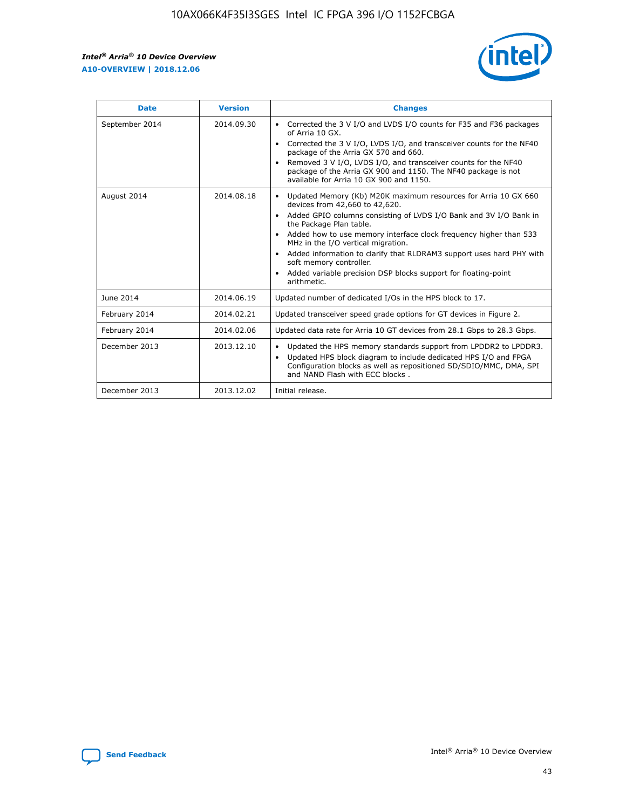r



| <b>Date</b>    | <b>Version</b> | <b>Changes</b>                                                                                                                                                                                                                                                                                                                                                                                                                                                                                                                                                   |
|----------------|----------------|------------------------------------------------------------------------------------------------------------------------------------------------------------------------------------------------------------------------------------------------------------------------------------------------------------------------------------------------------------------------------------------------------------------------------------------------------------------------------------------------------------------------------------------------------------------|
| September 2014 | 2014.09.30     | Corrected the 3 V I/O and LVDS I/O counts for F35 and F36 packages<br>$\bullet$<br>of Arria 10 GX.<br>Corrected the 3 V I/O, LVDS I/O, and transceiver counts for the NF40<br>$\bullet$<br>package of the Arria GX 570 and 660.<br>Removed 3 V I/O, LVDS I/O, and transceiver counts for the NF40<br>$\bullet$<br>package of the Arria GX 900 and 1150. The NF40 package is not<br>available for Arria 10 GX 900 and 1150.                                                                                                                                       |
| August 2014    | 2014.08.18     | Updated Memory (Kb) M20K maximum resources for Arria 10 GX 660<br>$\bullet$<br>devices from 42,660 to 42,620.<br>Added GPIO columns consisting of LVDS I/O Bank and 3V I/O Bank in<br>$\bullet$<br>the Package Plan table.<br>Added how to use memory interface clock frequency higher than 533<br>$\bullet$<br>MHz in the I/O vertical migration.<br>Added information to clarify that RLDRAM3 support uses hard PHY with<br>$\bullet$<br>soft memory controller.<br>Added variable precision DSP blocks support for floating-point<br>$\bullet$<br>arithmetic. |
| June 2014      | 2014.06.19     | Updated number of dedicated I/Os in the HPS block to 17.                                                                                                                                                                                                                                                                                                                                                                                                                                                                                                         |
| February 2014  | 2014.02.21     | Updated transceiver speed grade options for GT devices in Figure 2.                                                                                                                                                                                                                                                                                                                                                                                                                                                                                              |
| February 2014  | 2014.02.06     | Updated data rate for Arria 10 GT devices from 28.1 Gbps to 28.3 Gbps.                                                                                                                                                                                                                                                                                                                                                                                                                                                                                           |
| December 2013  | 2013.12.10     | Updated the HPS memory standards support from LPDDR2 to LPDDR3.<br>$\bullet$<br>Updated HPS block diagram to include dedicated HPS I/O and FPGA<br>$\bullet$<br>Configuration blocks as well as repositioned SD/SDIO/MMC, DMA, SPI<br>and NAND Flash with ECC blocks.                                                                                                                                                                                                                                                                                            |
| December 2013  | 2013.12.02     | Initial release.                                                                                                                                                                                                                                                                                                                                                                                                                                                                                                                                                 |